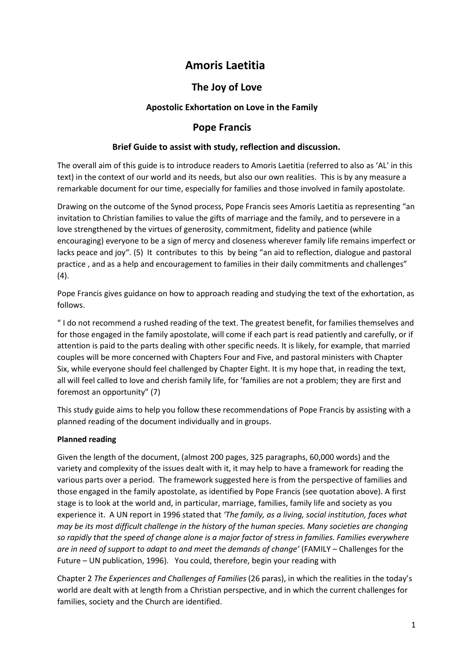# **Amoris Laetitia**

# **The Joy of Love**

# **Apostolic Exhortation on Love in the Family**

# **Pope Francis**

## **Brief Guide to assist with study, reflection and discussion.**

The overall aim of this guide is to introduce readers to Amoris Laetitia (referred to also as 'AL' in this text) in the context of our world and its needs, but also our own realities. This is by any measure a remarkable document for our time, especially for families and those involved in family apostolate.

Drawing on the outcome of the Synod process, Pope Francis sees Amoris Laetitia as representing "an invitation to Christian families to value the gifts of marriage and the family, and to persevere in a love strengthened by the virtues of generosity, commitment, fidelity and patience (while encouraging) everyone to be a sign of mercy and closeness wherever family life remains imperfect or lacks peace and joy". (5) It contributes to this by being "an aid to reflection, dialogue and pastoral practice , and as a help and encouragement to families in their daily commitments and challenges" (4).

Pope Francis gives guidance on how to approach reading and studying the text of the exhortation, as follows.

" I do not recommend a rushed reading of the text. The greatest benefit, for families themselves and for those engaged in the family apostolate, will come if each part is read patiently and carefully, or if attention is paid to the parts dealing with other specific needs. It is likely, for example, that married couples will be more concerned with Chapters Four and Five, and pastoral ministers with Chapter Six, while everyone should feel challenged by Chapter Eight. It is my hope that, in reading the text, all will feel called to love and cherish family life, for 'families are not a problem; they are first and foremost an opportunity" (7)

This study guide aims to help you follow these recommendations of Pope Francis by assisting with a planned reading of the document individually and in groups.

### **Planned reading**

Given the length of the document, (almost 200 pages, 325 paragraphs, 60,000 words) and the variety and complexity of the issues dealt with it, it may help to have a framework for reading the various parts over a period. The framework suggested here is from the perspective of families and those engaged in the family apostolate, as identified by Pope Francis (see quotation above). A first stage is to look at the world and, in particular, marriage, families, family life and society as you experience it. A UN report in 1996 stated that *'The family, as a living, social institution, faces what may be its most difficult challenge in the history of the human species. Many societies are changing so rapidly that the speed of change alone is a major factor of stress in families. Families everywhere are in need of support to adapt to and meet the demands of change'* (FAMILY – Challenges for the Future – UN publication, 1996). You could, therefore, begin your reading with

Chapter 2 *The Experiences and Challenges of Families* (26 paras), in which the realities in the today's world are dealt with at length from a Christian perspective, and in which the current challenges for families, society and the Church are identified.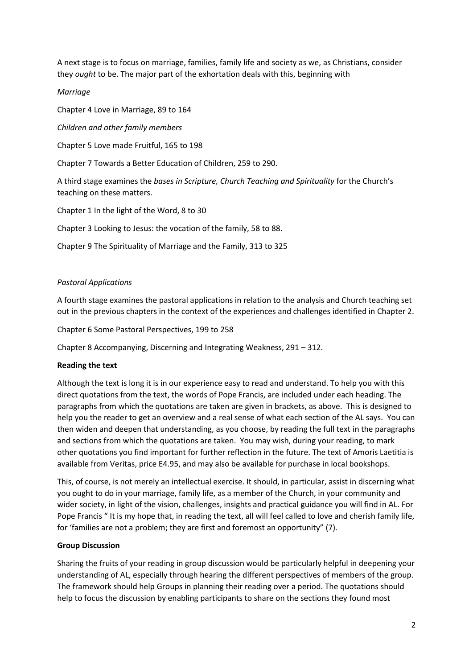A next stage is to focus on marriage, families, family life and society as we, as Christians, consider they *ought* to be. The major part of the exhortation deals with this, beginning with

### *Marriage*

Chapter 4 Love in Marriage, 89 to 164

*Children and other family members*

Chapter 5 Love made Fruitful, 165 to 198

Chapter 7 Towards a Better Education of Children, 259 to 290.

A third stage examines the *bases in Scripture, Church Teaching and Spirituality* for the Church's teaching on these matters.

Chapter 1 In the light of the Word, 8 to 30

Chapter 3 Looking to Jesus: the vocation of the family, 58 to 88.

Chapter 9 The Spirituality of Marriage and the Family, 313 to 325

### *Pastoral Applications*

A fourth stage examines the pastoral applications in relation to the analysis and Church teaching set out in the previous chapters in the context of the experiences and challenges identified in Chapter 2.

Chapter 6 Some Pastoral Perspectives, 199 to 258

Chapter 8 Accompanying, Discerning and Integrating Weakness, 291 – 312.

### **Reading the text**

Although the text is long it is in our experience easy to read and understand. To help you with this direct quotations from the text, the words of Pope Francis, are included under each heading. The paragraphs from which the quotations are taken are given in brackets, as above. This is designed to help you the reader to get an overview and a real sense of what each section of the AL says. You can then widen and deepen that understanding, as you choose, by reading the full text in the paragraphs and sections from which the quotations are taken. You may wish, during your reading, to mark other quotations you find important for further reflection in the future. The text of Amoris Laetitia is available from Veritas, price E4.95, and may also be available for purchase in local bookshops.

This, of course, is not merely an intellectual exercise. It should, in particular, assist in discerning what you ought to do in your marriage, family life, as a member of the Church, in your community and wider society, in light of the vision, challenges, insights and practical guidance you will find in AL. For Pope Francis " It is my hope that, in reading the text, all will feel called to love and cherish family life, for 'families are not a problem; they are first and foremost an opportunity" (7).

### **Group Discussion**

Sharing the fruits of your reading in group discussion would be particularly helpful in deepening your understanding of AL, especially through hearing the different perspectives of members of the group. The framework should help Groups in planning their reading over a period. The quotations should help to focus the discussion by enabling participants to share on the sections they found most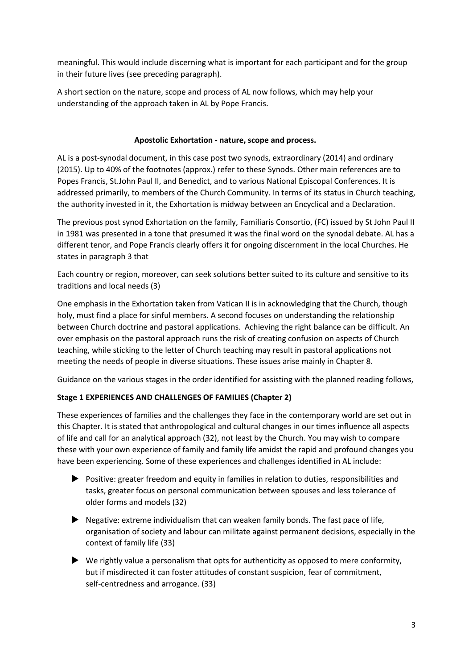meaningful. This would include discerning what is important for each participant and for the group in their future lives (see preceding paragraph).

A short section on the nature, scope and process of AL now follows, which may help your understanding of the approach taken in AL by Pope Francis.

### **Apostolic Exhortation - nature, scope and process.**

AL is a post-synodal document, in this case post two synods, extraordinary (2014) and ordinary (2015). Up to 40% of the footnotes (approx.) refer to these Synods. Other main references are to Popes Francis, St.John Paul II, and Benedict, and to various National Episcopal Conferences. It is addressed primarily, to members of the Church Community. In terms of its status in Church teaching, the authority invested in it, the Exhortation is midway between an Encyclical and a Declaration.

The previous post synod Exhortation on the family, Familiaris Consortio, (FC) issued by St John Paul II in 1981 was presented in a tone that presumed it was the final word on the synodal debate. AL has a different tenor, and Pope Francis clearly offers it for ongoing discernment in the local Churches. He states in paragraph 3 that

Each country or region, moreover, can seek solutions better suited to its culture and sensitive to its traditions and local needs (3)

One emphasis in the Exhortation taken from Vatican II is in acknowledging that the Church, though holy, must find a place for sinful members. A second focuses on understanding the relationship between Church doctrine and pastoral applications. Achieving the right balance can be difficult. An over emphasis on the pastoral approach runs the risk of creating confusion on aspects of Church teaching, while sticking to the letter of Church teaching may result in pastoral applications not meeting the needs of people in diverse situations. These issues arise mainly in Chapter 8.

Guidance on the various stages in the order identified for assisting with the planned reading follows,

# **Stage 1 EXPERIENCES AND CHALLENGES OF FAMILIES (Chapter 2)**

These experiences of families and the challenges they face in the contemporary world are set out in this Chapter. It is stated that anthropological and cultural changes in our times influence all aspects of life and call for an analytical approach (32), not least by the Church. You may wish to compare these with your own experience of family and family life amidst the rapid and profound changes you have been experiencing. Some of these experiences and challenges identified in AL include:

- Positive: greater freedom and equity in families in relation to duties, responsibilities and tasks, greater focus on personal communication between spouses and less tolerance of older forms and models (32)
- Negative: extreme individualism that can weaken family bonds. The fast pace of life, organisation of society and labour can militate against permanent decisions, especially in the context of family life (33)
- $\blacktriangleright$  We rightly value a personalism that opts for authenticity as opposed to mere conformity, but if misdirected it can foster attitudes of constant suspicion, fear of commitment, self-centredness and arrogance. (33)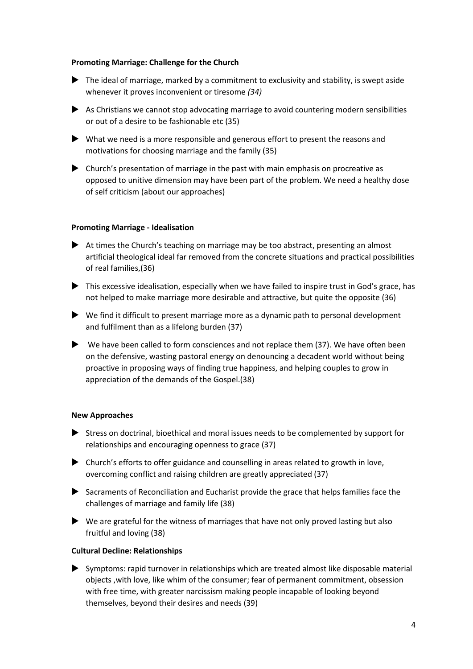#### **Promoting Marriage: Challenge for the Church**

- The ideal of marriage, marked by a commitment to exclusivity and stability, is swept aside whenever it proves inconvenient or tiresome *(34)*
- $\blacktriangleright$  As Christians we cannot stop advocating marriage to avoid countering modern sensibilities or out of a desire to be fashionable etc (35)
- What we need is a more responsible and generous effort to present the reasons and motivations for choosing marriage and the family (35)
- Church's presentation of marriage in the past with main emphasis on procreative as opposed to unitive dimension may have been part of the problem. We need a healthy dose of self criticism (about our approaches)

#### **Promoting Marriage - Idealisation**

- At times the Church's teaching on marriage may be too abstract, presenting an almost artificial theological ideal far removed from the concrete situations and practical possibilities of real families,(36)
- This excessive idealisation, especially when we have failed to inspire trust in God's grace, has not helped to make marriage more desirable and attractive, but quite the opposite (36)
- We find it difficult to present marriage more as a dynamic path to personal development and fulfilment than as a lifelong burden (37)
- $\blacktriangleright$  We have been called to form consciences and not replace them (37). We have often been on the defensive, wasting pastoral energy on denouncing a decadent world without being proactive in proposing ways of finding true happiness, and helping couples to grow in appreciation of the demands of the Gospel.(38)

### **New Approaches**

- Stress on doctrinal, bioethical and moral issues needs to be complemented by support for relationships and encouraging openness to grace (37)
- Church's efforts to offer guidance and counselling in areas related to growth in love, overcoming conflict and raising children are greatly appreciated (37)
- Sacraments of Reconciliation and Eucharist provide the grace that helps families face the challenges of marriage and family life (38)
- $\blacktriangleright$  We are grateful for the witness of marriages that have not only proved lasting but also fruitful and loving (38)

### **Cultural Decline: Relationships**

 Symptoms: rapid turnover in relationships which are treated almost like disposable material objects ,with love, like whim of the consumer; fear of permanent commitment, obsession with free time, with greater narcissism making people incapable of looking beyond themselves, beyond their desires and needs (39)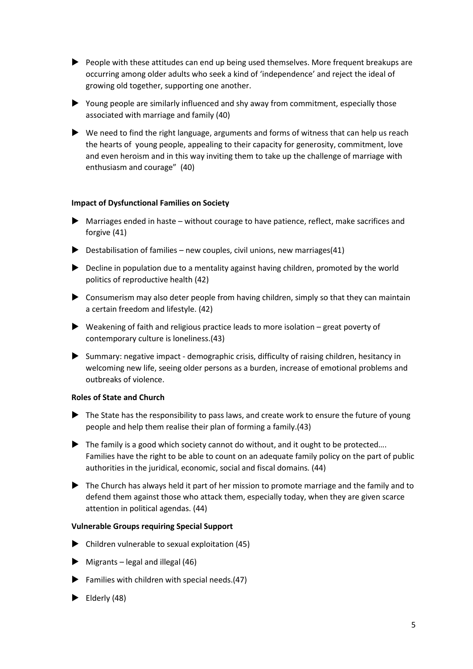- People with these attitudes can end up being used themselves. More frequent breakups are occurring among older adults who seek a kind of 'independence' and reject the ideal of growing old together, supporting one another.
- Young people are similarly influenced and shy away from commitment, especially those associated with marriage and family (40)
- We need to find the right language, arguments and forms of witness that can help us reach the hearts of young people, appealing to their capacity for generosity, commitment, love and even heroism and in this way inviting them to take up the challenge of marriage with enthusiasm and courage"(40)

### **Impact of Dysfunctional Families on Society**

- $\blacktriangleright$  Marriages ended in haste without courage to have patience, reflect, make sacrifices and forgive (41)
- $\triangleright$  Destabilisation of families new couples, civil unions, new marriages(41)
- ▶ Decline in population due to a mentality against having children, promoted by the world politics of reproductive health (42)
- $\triangleright$  Consumerism may also deter people from having children, simply so that they can maintain a certain freedom and lifestyle. (42)
- $\blacktriangleright$  Weakening of faith and religious practice leads to more isolation great poverty of contemporary culture is loneliness.(43)
- Summary: negative impact demographic crisis, difficulty of raising children, hesitancy in welcoming new life, seeing older persons as a burden, increase of emotional problems and outbreaks of violence.

### **Roles of State and Church**

- $\blacktriangleright$  The State has the responsibility to pass laws, and create work to ensure the future of young people and help them realise their plan of forming a family.(43)
- $\blacktriangleright$  The family is a good which society cannot do without, and it ought to be protected.... Families have the right to be able to count on an adequate family policy on the part of public authorities in the juridical, economic, social and fiscal domains*.* (44)
- The Church has always held it part of her mission to promote marriage and the family and to defend them against those who attack them, especially today, when they are given scarce attention in political agendas. (44)

### **Vulnerable Groups requiring Special Support**

- $\blacktriangleright$  Children vulnerable to sexual exploitation (45)
- $\blacktriangleright$  Migrants legal and illegal (46)
- $\blacktriangleright$  Families with children with special needs.(47)
- $\blacktriangleright$  Elderly (48)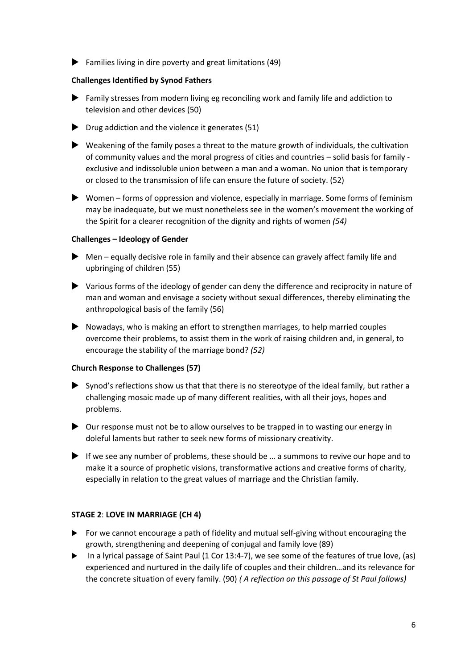$\blacktriangleright$  Families living in dire poverty and great limitations (49)

### **Challenges Identified by Synod Fathers**

- Family stresses from modern living eg reconciling work and family life and addiction to television and other devices (50)
- Drug addiction and the violence it generates (51)
- Weakening of the family poses a threat to the mature growth of individuals, the cultivation of community values and the moral progress of cities and countries – solid basis for family exclusive and indissoluble union between a man and a woman. No union that is temporary or closed to the transmission of life can ensure the future of society. (52)
- Women forms of oppression and violence, especially in marriage. Some forms of feminism may be inadequate, but we must nonetheless see in the women's movement the working of the Spirit for a clearer recognition of the dignity and rights of women *(54)*

### **Challenges – Ideology of Gender**

- $\blacktriangleright$  Men equally decisive role in family and their absence can gravely affect family life and upbringing of children (55)
- Various forms of the ideology of gender can deny the difference and reciprocity in nature of man and woman and envisage a society without sexual differences, thereby eliminating the anthropological basis of the family (56)
- $\blacktriangleright$  Nowadays, who is making an effort to strengthen marriages, to help married couples overcome their problems, to assist them in the work of raising children and, in general, to encourage the stability of the marriage bond? *(52)*

### **Church Response to Challenges (57)**

- Synod's reflections show us that that there is no stereotype of the ideal family, but rather a challenging mosaic made up of many different realities, with all their joys, hopes and problems.
- $\triangleright$  Our response must not be to allow ourselves to be trapped in to wasting our energy in doleful laments but rather to seek new forms of missionary creativity.
- If we see any number of problems, these should be  $\dots$  a summons to revive our hope and to make it a source of prophetic visions, transformative actions and creative forms of charity, especially in relation to the great values of marriage and the Christian family.

### **STAGE 2**: **LOVE IN MARRIAGE (CH 4)**

- For we cannot encourage a path of fidelity and mutual self-giving without encouraging the growth, strengthening and deepening of conjugal and family love (89)
- In a lyrical passage of Saint Paul  $(1$  Cor  $13:4-7)$ , we see some of the features of true love,  $(as)$ experienced and nurtured in the daily life of couples and their children…and its relevance for the concrete situation of every family. (90) *( A reflection on this passage of St Paul follows)*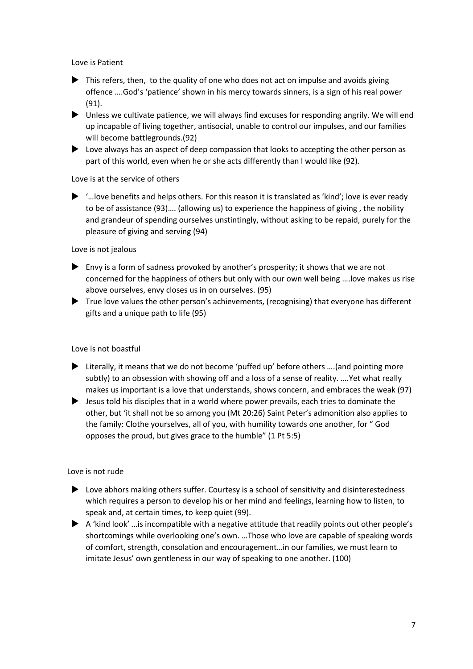Love is Patient

- ▶ This refers, then, to the quality of one who does not act on impulse and avoids giving offence ….God's 'patience' shown in his mercy towards sinners, is a sign of his real power (91).
- Unless we cultivate patience, we will always find excuses for responding angrily. We will end up incapable of living together, antisocial, unable to control our impulses, and our families will become battlegrounds.(92)
- Love always has an aspect of deep compassion that looks to accepting the other person as part of this world, even when he or she acts differently than I would like (92).

### Love is at the service of others

 $\blacktriangleright$  '... love benefits and helps others. For this reason it is translated as 'kind'; love is ever ready to be of assistance (93)…. (allowing us) to experience the happiness of giving , the nobility and grandeur of spending ourselves unstintingly, without asking to be repaid, purely for the pleasure of giving and serving (94)

### Love is not jealous

- $\blacktriangleright$  Envy is a form of sadness provoked by another's prosperity; it shows that we are not concerned for the happiness of others but only with our own well being ….love makes us rise above ourselves, envy closes us in on ourselves. (95)
- $\blacktriangleright$  True love values the other person's achievements, (recognising) that everyone has different gifts and a unique path to life (95)

### Love is not boastful

- ▶ Literally, it means that we do not become 'puffed up' before others ....(and pointing more subtly) to an obsession with showing off and a loss of a sense of reality. ….Yet what really makes us important is a love that understands, shows concern, and embraces the weak (97)
- $\blacktriangleright$  Jesus told his disciples that in a world where power prevails, each tries to dominate the other, but 'it shall not be so among you (Mt 20:26) Saint Peter's admonition also applies to the family: Clothe yourselves, all of you, with humility towards one another, for " God opposes the proud, but gives grace to the humble" (1 Pt 5:5)

### Love is not rude

- Love abhors making others suffer. Courtesy is a school of sensitivity and disinterestedness which requires a person to develop his or her mind and feelings, learning how to listen, to speak and, at certain times, to keep quiet (99).
- $\blacktriangleright$  A 'kind look' ... is incompatible with a negative attitude that readily points out other people's shortcomings while overlooking one's own. …Those who love are capable of speaking words of comfort, strength, consolation and encouragement…in our families, we must learn to imitate Jesus' own gentleness in our way of speaking to one another. (100)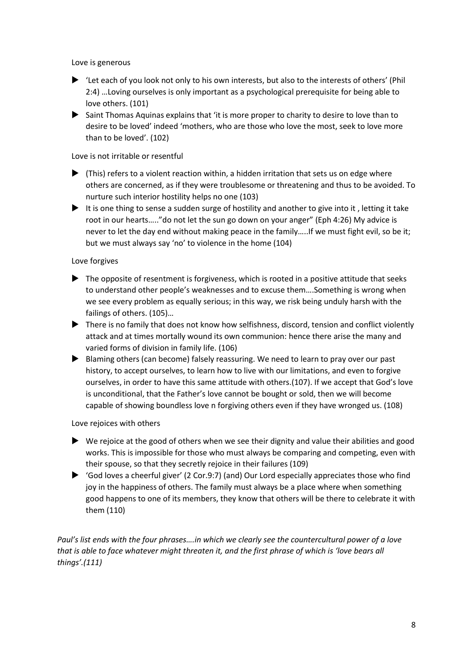Love is generous

- 'Let each of you look not only to his own interests, but also to the interests of others' (Phil 2:4) …Loving ourselves is only important as a psychological prerequisite for being able to love others. (101)
- Saint Thomas Aquinas explains that 'it is more proper to charity to desire to love than to desire to be loved' indeed 'mothers, who are those who love the most, seek to love more than to be loved'. (102)

### Love is not irritable or resentful

- $\blacktriangleright$  (This) refers to a violent reaction within, a hidden irritation that sets us on edge where others are concerned, as if they were troublesome or threatening and thus to be avoided. To nurture such interior hostility helps no one (103)
- It is one thing to sense a sudden surge of hostility and another to give into it, letting it take root in our hearts….."do not let the sun go down on your anger" (Eph 4:26) My advice is never to let the day end without making peace in the family…..If we must fight evil, so be it; but we must always say 'no' to violence in the home (104)

### Love forgives

- $\blacktriangleright$  The opposite of resentment is forgiveness, which is rooted in a positive attitude that seeks to understand other people's weaknesses and to excuse them….Something is wrong when we see every problem as equally serious; in this way, we risk being unduly harsh with the failings of others. (105)…
- There is no family that does not know how selfishness, discord, tension and conflict violently attack and at times mortally wound its own communion: hence there arise the many and varied forms of division in family life. (106)
- Blaming others (can become) falsely reassuring. We need to learn to pray over our past history, to accept ourselves, to learn how to live with our limitations, and even to forgive ourselves, in order to have this same attitude with others.(107). If we accept that God's love is unconditional, that the Father's love cannot be bought or sold, then we will become capable of showing boundless love n forgiving others even if they have wronged us. (108)

### Love rejoices with others

- $\blacktriangleright$  We rejoice at the good of others when we see their dignity and value their abilities and good works. This is impossible for those who must always be comparing and competing, even with their spouse, so that they secretly rejoice in their failures (109)
- 'God loves a cheerful giver' (2 Cor.9:7) (and) Our Lord especially appreciates those who find joy in the happiness of others. The family must always be a place where when something good happens to one of its members, they know that others will be there to celebrate it with them (110)

*Paul's list ends with the four phrases....in which we clearly see the countercultural power of a love that is able to face whatever might threaten it, and the first phrase of which is 'love bears all things'.(111)*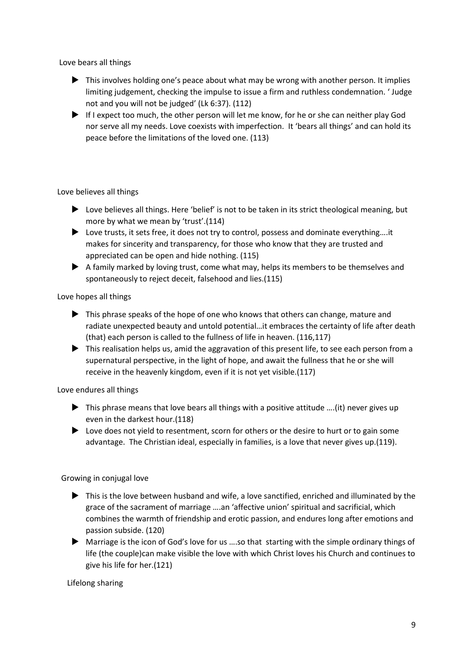Love bears all things

- ▶ This involves holding one's peace about what may be wrong with another person. It implies limiting judgement, checking the impulse to issue a firm and ruthless condemnation. ' Judge not and you will not be judged' (Lk 6:37). (112)
- If I expect too much, the other person will let me know, for he or she can neither play God nor serve all my needs. Love coexists with imperfection. It 'bears all things' and can hold its peace before the limitations of the loved one. (113)

Love believes all things

- ▶ Love believes all things. Here 'belief' is not to be taken in its strict theological meaning, but more by what we mean by 'trust'.(114)
- ▶ Love trusts, it sets free, it does not try to control, possess and dominate everything....it makes for sincerity and transparency, for those who know that they are trusted and appreciated can be open and hide nothing. (115)
- $\blacktriangleright$  A family marked by loving trust, come what may, helps its members to be themselves and spontaneously to reject deceit, falsehood and lies.(115)

Love hopes all things

- This phrase speaks of the hope of one who knows that others can change, mature and radiate unexpected beauty and untold potential…it embraces the certainty of life after death (that) each person is called to the fullness of life in heaven. (116,117)
- ▶ This realisation helps us, amid the aggravation of this present life, to see each person from a supernatural perspective, in the light of hope, and await the fullness that he or she will receive in the heavenly kingdom, even if it is not yet visible.(117)

Love endures all things

- $\blacktriangleright$  This phrase means that love bears all things with a positive attitude ....(it) never gives up even in the darkest hour.(118)
- Love does not yield to resentment, scorn for others or the desire to hurt or to gain some advantage. The Christian ideal, especially in families, is a love that never gives up.(119).

Growing in conjugal love

- This is the love between husband and wife, a love sanctified, enriched and illuminated by the grace of the sacrament of marriage ….an 'affective union' spiritual and sacrificial, which combines the warmth of friendship and erotic passion, and endures long after emotions and passion subside. (120)
- Marriage is the icon of God's love for us ….so that starting with the simple ordinary things of life (the couple)can make visible the love with which Christ loves his Church and continues to give his life for her.(121)

Lifelong sharing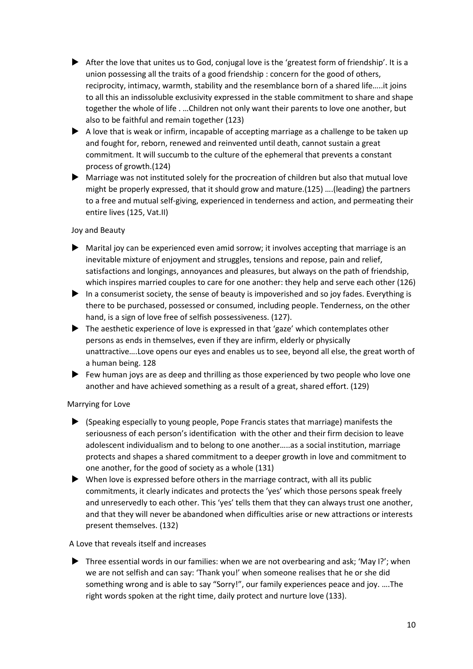- After the love that unites us to God, conjugal love is the 'greatest form of friendship'. It is a union possessing all the traits of a good friendship : concern for the good of others, reciprocity, intimacy, warmth, stability and the resemblance born of a shared life…..it joins to all this an indissoluble exclusivity expressed in the stable commitment to share and shape together the whole of life . …Children not only want their parents to love one another, but also to be faithful and remain together (123)
- $\blacktriangleright$  A love that is weak or infirm, incapable of accepting marriage as a challenge to be taken up and fought for, reborn, renewed and reinvented until death, cannot sustain a great commitment. It will succumb to the culture of the ephemeral that prevents a constant process of growth.(124)
- Marriage was not instituted solely for the procreation of children but also that mutual love might be properly expressed, that it should grow and mature.(125) ….(leading) the partners to a free and mutual self-giving, experienced in tenderness and action, and permeating their entire lives (125, Vat.II)

### Joy and Beauty

- $\blacktriangleright$  Marital joy can be experienced even amid sorrow; it involves accepting that marriage is an inevitable mixture of enjoyment and struggles, tensions and repose, pain and relief, satisfactions and longings, annoyances and pleasures, but always on the path of friendship, which inspires married couples to care for one another: they help and serve each other (126)
- In a consumerist society, the sense of beauty is impoverished and so joy fades. Everything is there to be purchased, possessed or consumed, including people. Tenderness, on the other hand, is a sign of love free of selfish possessiveness. (127).
- The aesthetic experience of love is expressed in that 'gaze' which contemplates other persons as ends in themselves, even if they are infirm, elderly or physically unattractive….Love opens our eyes and enables us to see, beyond all else, the great worth of a human being. 128
- $\blacktriangleright$  Few human joys are as deep and thrilling as those experienced by two people who love one another and have achieved something as a result of a great, shared effort. (129)

### Marrying for Love

- (Speaking especially to young people, Pope Francis states that marriage) manifests the seriousness of each person's identification with the other and their firm decision to leave adolescent individualism and to belong to one another…..as a social institution, marriage protects and shapes a shared commitment to a deeper growth in love and commitment to one another, for the good of society as a whole (131)
- When love is expressed before others in the marriage contract, with all its public commitments, it clearly indicates and protects the 'yes' which those persons speak freely and unreservedly to each other. This 'yes' tells them that they can always trust one another, and that they will never be abandoned when difficulties arise or new attractions or interests present themselves. (132)

### A Love that reveals itself and increases

 $\blacktriangleright$  Three essential words in our families: when we are not overbearing and ask; 'May I?'; when we are not selfish and can say: 'Thank you!' when someone realises that he or she did something wrong and is able to say "Sorry!", our family experiences peace and joy. ….The right words spoken at the right time, daily protect and nurture love (133).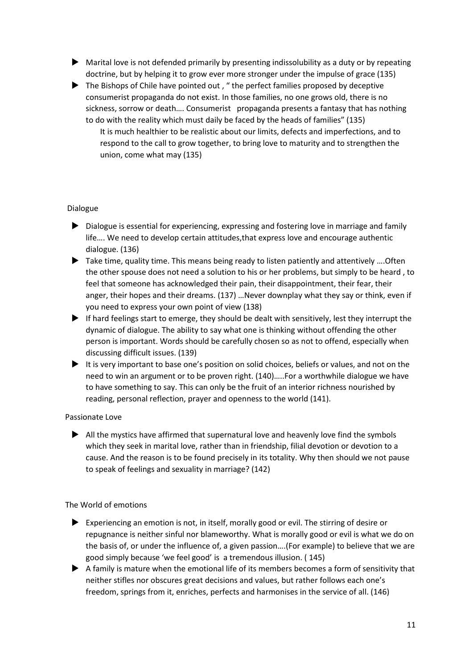- Marital love is not defended primarily by presenting indissolubility as a duty or by repeating doctrine, but by helping it to grow ever more stronger under the impulse of grace (135)
- $\blacktriangleright$  The Bishops of Chile have pointed out, "the perfect families proposed by deceptive consumerist propaganda do not exist. In those families, no one grows old, there is no sickness, sorrow or death…. Consumerist propaganda presents a fantasy that has nothing to do with the reality which must daily be faced by the heads of families" (135)
	- It is much healthier to be realistic about our limits, defects and imperfections, and to respond to the call to grow together, to bring love to maturity and to strengthen the union, come what may (135)

### Dialogue

- Dialogue is essential for experiencing, expressing and fostering love in marriage and family life…. We need to develop certain attitudes,that express love and encourage authentic dialogue. (136)
- ▶ Take time, quality time. This means being ready to listen patiently and attentively .... Often the other spouse does not need a solution to his or her problems, but simply to be heard , to feel that someone has acknowledged their pain, their disappointment, their fear, their anger, their hopes and their dreams. (137) …Never downplay what they say or think, even if you need to express your own point of view (138)
- If hard feelings start to emerge, they should be dealt with sensitively, lest they interrupt the dynamic of dialogue. The ability to say what one is thinking without offending the other person is important. Words should be carefully chosen so as not to offend, especially when discussing difficult issues. (139)
- $\blacktriangleright$  It is very important to base one's position on solid choices, beliefs or values, and not on the need to win an argument or to be proven right. (140)…..For a worthwhile dialogue we have to have something to say. This can only be the fruit of an interior richness nourished by reading, personal reflection, prayer and openness to the world (141).

### Passionate Love

 $\blacktriangleright$  All the mystics have affirmed that supernatural love and heavenly love find the symbols which they seek in marital love, rather than in friendship, filial devotion or devotion to a cause. And the reason is to be found precisely in its totality. Why then should we not pause to speak of feelings and sexuality in marriage? (142)

### The World of emotions

- Experiencing an emotion is not, in itself, morally good or evil. The stirring of desire or repugnance is neither sinful nor blameworthy. What is morally good or evil is what we do on the basis of, or under the influence of, a given passion….(For example) to believe that we are good simply because 'we feel good' is a tremendous illusion. ( 145)
- A family is mature when the emotional life of its members becomes a form of sensitivity that neither stifles nor obscures great decisions and values, but rather follows each one's freedom, springs from it, enriches, perfects and harmonises in the service of all. (146)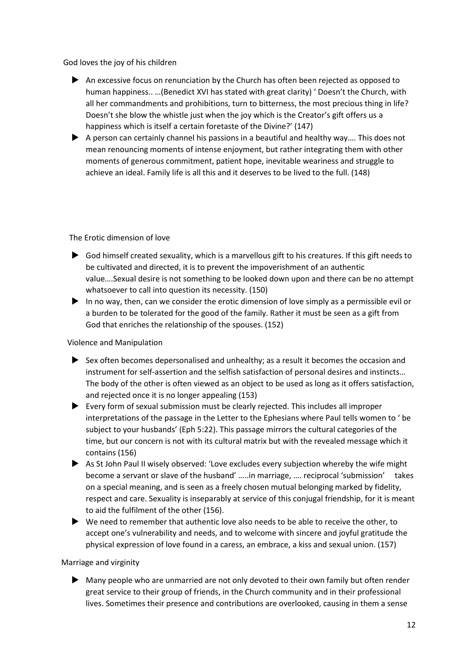God loves the joy of his children

- An excessive focus on renunciation by the Church has often been rejected as opposed to human happiness.. …(Benedict XVI has stated with great clarity) ' Doesn't the Church, with all her commandments and prohibitions, turn to bitterness, the most precious thing in life? Doesn't she blow the whistle just when the joy which is the Creator's gift offers us a happiness which is itself a certain foretaste of the Divine?' (147)
- ▶ A person can certainly channel his passions in a beautiful and healthy way.... This does not mean renouncing moments of intense enjoyment, but rather integrating them with other moments of generous commitment, patient hope, inevitable weariness and struggle to achieve an ideal. Family life is all this and it deserves to be lived to the full. (148)

### The Erotic dimension of love

- God himself created sexuality, which is a marvellous gift to his creatures. If this gift needs to be cultivated and directed, it is to prevent the impoverishment of an authentic value….Sexual desire is not something to be looked down upon and there can be no attempt whatsoever to call into question its necessity. (150)
- In no way, then, can we consider the erotic dimension of love simply as a permissible evil or a burden to be tolerated for the good of the family. Rather it must be seen as a gift from God that enriches the relationship of the spouses. (152)

### Violence and Manipulation

- $\triangleright$  Sex often becomes depersonalised and unhealthy; as a result it becomes the occasion and instrument for self-assertion and the selfish satisfaction of personal desires and instincts… The body of the other is often viewed as an object to be used as long as it offers satisfaction, and rejected once it is no longer appealing (153)
- Every form of sexual submission must be clearly rejected. This includes all improper interpretations of the passage in the Letter to the Ephesians where Paul tells women to ' be subject to your husbands' (Eph 5:22). This passage mirrors the cultural categories of the time, but our concern is not with its cultural matrix but with the revealed message which it contains (156)
- As St John Paul II wisely observed: 'Love excludes every subjection whereby the wife might become a servant or slave of the husband' …..in marriage, …. reciprocal 'submission' takes on a special meaning, and is seen as a freely chosen mutual belonging marked by fidelity, respect and care. Sexuality is inseparably at service of this conjugal friendship, for it is meant to aid the fulfilment of the other (156).
- $\blacktriangleright$  We need to remember that authentic love also needs to be able to receive the other, to accept one's vulnerability and needs, and to welcome with sincere and joyful gratitude the physical expression of love found in a caress, an embrace, a kiss and sexual union. (157)

### Marriage and virginity

 Many people who are unmarried are not only devoted to their own family but often render great service to their group of friends, in the Church community and in their professional lives. Sometimes their presence and contributions are overlooked, causing in them a sense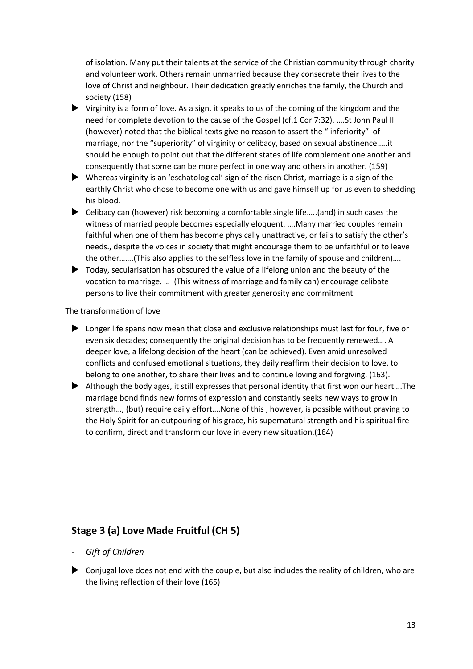of isolation. Many put their talents at the service of the Christian community through charity and volunteer work. Others remain unmarried because they consecrate their lives to the love of Christ and neighbour. Their dedication greatly enriches the family, the Church and society (158)

- Virginity is a form of love. As a sign, it speaks to us of the coming of the kingdom and the need for complete devotion to the cause of the Gospel (cf.1 Cor 7:32). ….St John Paul II (however) noted that the biblical texts give no reason to assert the " inferiority" of marriage, nor the "superiority" of virginity or celibacy, based on sexual abstinence…..it should be enough to point out that the different states of life complement one another and consequently that some can be more perfect in one way and others in another. (159)
- Whereas virginity is an 'eschatological' sign of the risen Christ, marriage is a sign of the earthly Christ who chose to become one with us and gave himself up for us even to shedding his blood.
- ▶ Celibacy can (however) risk becoming a comfortable single life.....(and) in such cases the witness of married people becomes especially eloquent. ….Many married couples remain faithful when one of them has become physically unattractive, or fails to satisfy the other's needs., despite the voices in society that might encourage them to be unfaithful or to leave the other…….(This also applies to the selfless love in the family of spouse and children)….
- Today, secularisation has obscured the value of a lifelong union and the beauty of the vocation to marriage. … (This witness of marriage and family can) encourage celibate persons to live their commitment with greater generosity and commitment.

The transformation of love

- Longer life spans now mean that close and exclusive relationships must last for four, five or even six decades; consequently the original decision has to be frequently renewed…. A deeper love, a lifelong decision of the heart (can be achieved). Even amid unresolved conflicts and confused emotional situations, they daily reaffirm their decision to love, to belong to one another, to share their lives and to continue loving and forgiving. (163).
- Although the body ages, it still expresses that personal identity that first won our heart….The marriage bond finds new forms of expression and constantly seeks new ways to grow in strength…, (but) require daily effort….None of this , however, is possible without praying to the Holy Spirit for an outpouring of his grace, his supernatural strength and his spiritual fire to confirm, direct and transform our love in every new situation.(164)

# **Stage 3 (a) Love Made Fruitful (CH 5)**

- *Gift of Children*
- $\triangleright$  Conjugal love does not end with the couple, but also includes the reality of children, who are the living reflection of their love (165)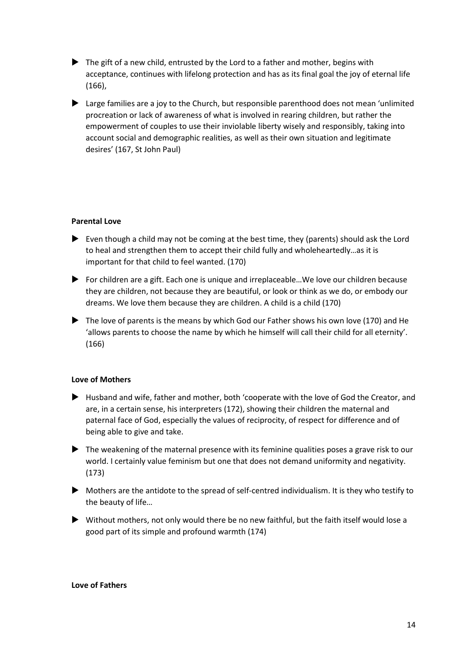- $\blacktriangleright$  The gift of a new child, entrusted by the Lord to a father and mother, begins with acceptance, continues with lifelong protection and has as its final goal the joy of eternal life (166),
- Large families are a joy to the Church, but responsible parenthood does not mean 'unlimited procreation or lack of awareness of what is involved in rearing children, but rather the empowerment of couples to use their inviolable liberty wisely and responsibly, taking into account social and demographic realities, as well as their own situation and legitimate desires' (167, St John Paul)

### **Parental Love**

- Even though a child may not be coming at the best time, they (parents) should ask the Lord to heal and strengthen them to accept their child fully and wholeheartedly…as it is important for that child to feel wanted. (170)
- ▶ For children are a gift. Each one is unique and irreplaceable...We love our children because they are children, not because they are beautiful, or look or think as we do, or embody our dreams. We love them because they are children. A child is a child (170)
- The love of parents is the means by which God our Father shows his own love (170) and He 'allows parents to choose the name by which he himself will call their child for all eternity'. (166)

#### **Love of Mothers**

- Husband and wife, father and mother, both 'cooperate with the love of God the Creator, and are, in a certain sense, his interpreters (172), showing their children the maternal and paternal face of God, especially the values of reciprocity, of respect for difference and of being able to give and take.
- $\blacktriangleright$  The weakening of the maternal presence with its feminine qualities poses a grave risk to our world. I certainly value feminism but one that does not demand uniformity and negativity. (173)
- Mothers are the antidote to the spread of self-centred individualism. It is they who testify to the beauty of life…
- Without mothers, not only would there be no new faithful, but the faith itself would lose a good part of its simple and profound warmth (174)

#### **Love of Fathers**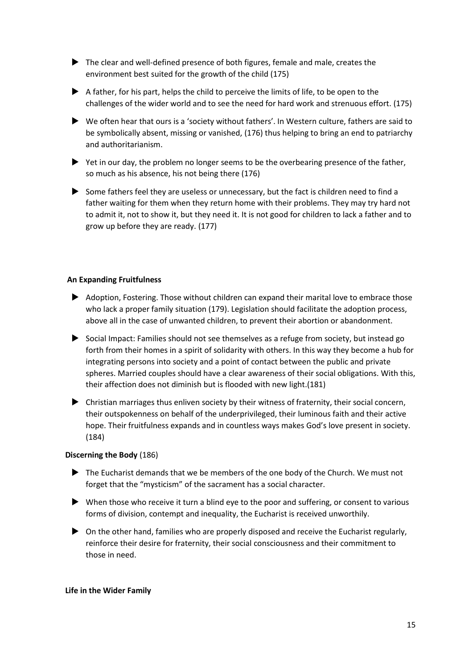- The clear and well-defined presence of both figures, female and male, creates the environment best suited for the growth of the child (175)
- $\blacktriangleright$  A father, for his part, helps the child to perceive the limits of life, to be open to the challenges of the wider world and to see the need for hard work and strenuous effort. (175)
- We often hear that ours is a 'society without fathers'. In Western culture, fathers are said to be symbolically absent, missing or vanished, (176) thus helping to bring an end to patriarchy and authoritarianism.
- $\blacktriangleright$  Yet in our day, the problem no longer seems to be the overbearing presence of the father, so much as his absence, his not being there (176)
- Some fathers feel they are useless or unnecessary, but the fact is children need to find a father waiting for them when they return home with their problems. They may try hard not to admit it, not to show it, but they need it. It is not good for children to lack a father and to grow up before they are ready. (177)

### **An Expanding Fruitfulness**

- Adoption, Fostering. Those without children can expand their marital love to embrace those who lack a proper family situation (179). Legislation should facilitate the adoption process, above all in the case of unwanted children, to prevent their abortion or abandonment.
- Social Impact: Families should not see themselves as a refuge from society, but instead go forth from their homes in a spirit of solidarity with others. In this way they become a hub for integrating persons into society and a point of contact between the public and private spheres. Married couples should have a clear awareness of their social obligations. With this, their affection does not diminish but is flooded with new light.(181)
- Christian marriages thus enliven society by their witness of fraternity, their social concern, their outspokenness on behalf of the underprivileged, their luminous faith and their active hope. Their fruitfulness expands and in countless ways makes God's love present in society. (184)

#### **Discerning the Body** (186)

- ▶ The Eucharist demands that we be members of the one body of the Church. We must not forget that the "mysticism" of the sacrament has a social character.
- When those who receive it turn a blind eye to the poor and suffering, or consent to various forms of division, contempt and inequality, the Eucharist is received unworthily.
- $\triangleright$  On the other hand, families who are properly disposed and receive the Eucharist regularly, reinforce their desire for fraternity, their social consciousness and their commitment to those in need.

#### **Life in the Wider Family**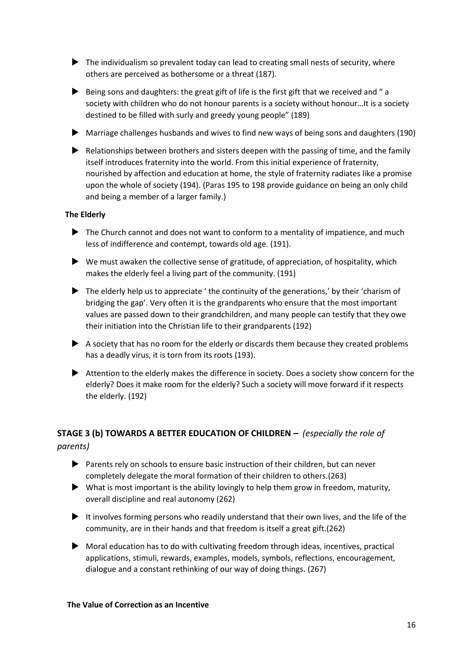- The individualism so prevalent today can lead to creating small nests of security, where others are perceived as bothersome or a threat (187).
- $\blacktriangleright$  Being sons and daughters: the great gift of life is the first gift that we received and " a society with children who do not honour parents is a society without honour…It is a society destined to be filled with surly and greedy young people" (189)
- Marriage challenges husbands and wives to find new ways of being sons and daughters (190)
- Relationships between brothers and sisters deepen with the passing of time, and the family itself introduces fraternity into the world. From this initial experience of fraternity, nourished by affection and education at home, the style of fraternity radiates like a promise upon the whole of society (194). (Paras 195 to 198 provide guidance on being an only child and being a member of a larger family.)

### **The Elderly**

- $\blacktriangleright$  The Church cannot and does not want to conform to a mentality of impatience, and much less of indifference and contempt, towards old age. (191).
- $\blacktriangleright$  We must awaken the collective sense of gratitude, of appreciation, of hospitality, which makes the elderly feel a living part of the community. (191)
- $\blacktriangleright$  The elderly help us to appreciate ' the continuity of the generations,' by their 'charism of bridging the gap'. Very often it is the grandparents who ensure that the most important values are passed down to their grandchildren, and many people can testify that they owe their initiation into the Christian life to their grandparents (192)
- A society that has no room for the elderly or discards them because they created problems has a deadly virus, it is torn from its roots (193).
- Attention to the elderly makes the difference in society. Does a society show concern for the elderly? Does it make room for the elderly? Such a society will move forward if it respects the elderly. (192)

# **STAGE 3 (b) TOWARDS A BETTER EDUCATION OF CHILDREN –** *(especially the role of parents)*

- Parents rely on schools to ensure basic instruction of their children, but can never completely delegate the moral formation of their children to others.(263)
- $\blacktriangleright$  What is most important is the ability lovingly to help them grow in freedom, maturity, overall discipline and real autonomy (262)
- It involves forming persons who readily understand that their own lives, and the life of the community, are in their hands and that freedom is itself a great gift.(262)
- $\triangleright$  Moral education has to do with cultivating freedom through ideas, incentives, practical applications, stimuli, rewards, examples, models, symbols, reflections, encouragement, dialogue and a constant rethinking of our way of doing things. (267)

### **The Value of Correction as an Incentive**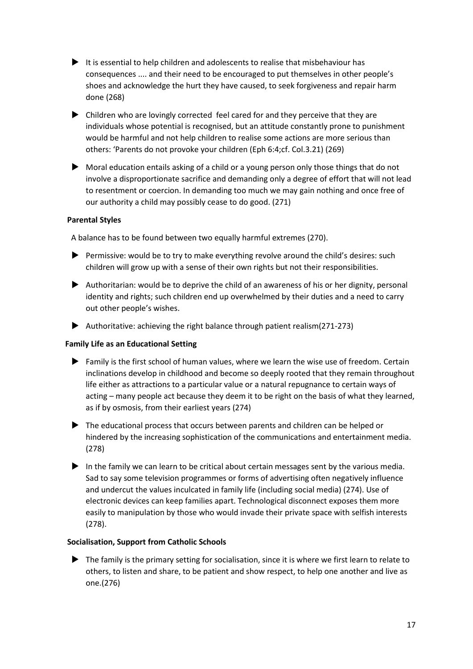- It is essential to help children and adolescents to realise that misbehaviour has consequences .... and their need to be encouraged to put themselves in other people's shoes and acknowledge the hurt they have caused, to seek forgiveness and repair harm done (268)
- Children who are lovingly corrected feel cared for and they perceive that they are individuals whose potential is recognised, but an attitude constantly prone to punishment would be harmful and not help children to realise some actions are more serious than others: 'Parents do not provoke your children (Eph 6:4;cf. Col.3.21) (269)
- Moral education entails asking of a child or a young person only those things that do not involve a disproportionate sacrifice and demanding only a degree of effort that will not lead to resentment or coercion. In demanding too much we may gain nothing and once free of our authority a child may possibly cease to do good. (271)

### **Parental Styles**

A balance has to be found between two equally harmful extremes (270).

- Permissive: would be to try to make everything revolve around the child's desires: such children will grow up with a sense of their own rights but not their responsibilities.
- Authoritarian: would be to deprive the child of an awareness of his or her dignity, personal identity and rights; such children end up overwhelmed by their duties and a need to carry out other people's wishes.
- Authoritative: achieving the right balance through patient realism(271-273)

### **Family Life as an Educational Setting**

- $\blacktriangleright$  Family is the first school of human values, where we learn the wise use of freedom. Certain inclinations develop in childhood and become so deeply rooted that they remain throughout life either as attractions to a particular value or a natural repugnance to certain ways of acting – many people act because they deem it to be right on the basis of what they learned, as if by osmosis, from their earliest years (274)
- The educational process that occurs between parents and children can be helped or hindered by the increasing sophistication of the communications and entertainment media. (278)
- In the family we can learn to be critical about certain messages sent by the various media. Sad to say some television programmes or forms of advertising often negatively influence and undercut the values inculcated in family life (including social media) (274). Use of electronic devices can keep families apart. Technological disconnect exposes them more easily to manipulation by those who would invade their private space with selfish interests (278).

### **Socialisation, Support from Catholic Schools**

The family is the primary setting for socialisation, since it is where we first learn to relate to others, to listen and share, to be patient and show respect, to help one another and live as one.(276)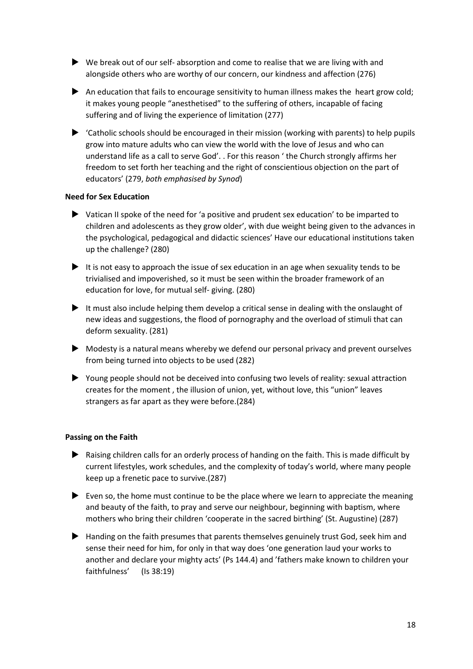- $\blacktriangleright$  We break out of our self- absorption and come to realise that we are living with and alongside others who are worthy of our concern, our kindness and affection (276)
- An education that fails to encourage sensitivity to human illness makes the heart grow cold; it makes young people "anesthetised" to the suffering of others, incapable of facing suffering and of living the experience of limitation (277)
- $\blacktriangleright$  'Catholic schools should be encouraged in their mission (working with parents) to help pupils grow into mature adults who can view the world with the love of Jesus and who can understand life as a call to serve God'. . For this reason ' the Church strongly affirms her freedom to set forth her teaching and the right of conscientious objection on the part of educators' (279, *both emphasised by Synod*)

### **Need for Sex Education**

- Vatican II spoke of the need for 'a positive and prudent sex education' to be imparted to children and adolescents as they grow older', with due weight being given to the advances in the psychological, pedagogical and didactic sciences' Have our educational institutions taken up the challenge? (280)
- It is not easy to approach the issue of sex education in an age when sexuality tends to be trivialised and impoverished, so it must be seen within the broader framework of an education for love, for mutual self- giving. (280)
- It must also include helping them develop a critical sense in dealing with the onslaught of new ideas and suggestions, the flood of pornography and the overload of stimuli that can deform sexuality. (281)
- Modesty is a natural means whereby we defend our personal privacy and prevent ourselves from being turned into objects to be used (282)
- Young people should not be deceived into confusing two levels of reality: sexual attraction creates for the moment , the illusion of union, yet, without love, this "union" leaves strangers as far apart as they were before.(284)

### **Passing on the Faith**

- Raising children calls for an orderly process of handing on the faith. This is made difficult by current lifestyles, work schedules, and the complexity of today's world, where many people keep up a frenetic pace to survive.(287)
- $\blacktriangleright$  Even so, the home must continue to be the place where we learn to appreciate the meaning and beauty of the faith, to pray and serve our neighbour, beginning with baptism, where mothers who bring their children 'cooperate in the sacred birthing' (St. Augustine) (287)
- Handing on the faith presumes that parents themselves genuinely trust God, seek him and sense their need for him, for only in that way does 'one generation laud your works to another and declare your mighty acts' (Ps 144.4) and 'fathers make known to children your faithfulness' (Is 38:19)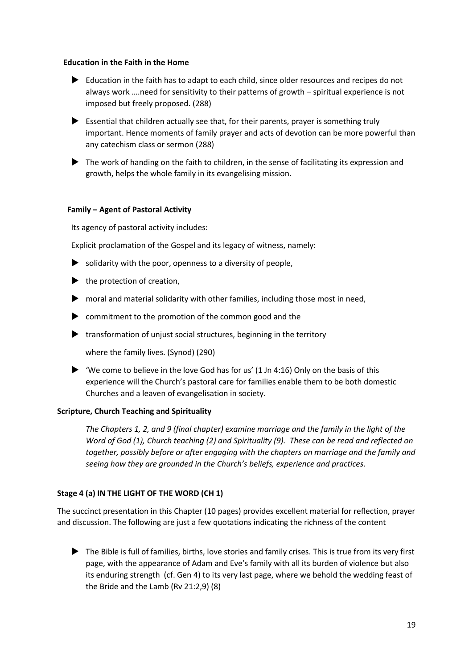#### **Education in the Faith in the Home**

- Education in the faith has to adapt to each child, since older resources and recipes do not always work ….need for sensitivity to their patterns of growth – spiritual experience is not imposed but freely proposed. (288)
- $\blacktriangleright$  Essential that children actually see that, for their parents, prayer is something truly important. Hence moments of family prayer and acts of devotion can be more powerful than any catechism class or sermon (288)
- $\blacktriangleright$  The work of handing on the faith to children, in the sense of facilitating its expression and growth, helps the whole family in its evangelising mission.

### **Family – Agent of Pastoral Activity**

Its agency of pastoral activity includes:

Explicit proclamation of the Gospel and its legacy of witness, namely:

- $\triangleright$  solidarity with the poor, openness to a diversity of people,
- $\blacktriangleright$  the protection of creation,
- moral and material solidarity with other families, including those most in need,
- commitment to the promotion of the common good and the
- $\blacktriangleright$  transformation of unjust social structures, beginning in the territory

where the family lives. (Synod) (290)

 $\blacktriangleright$  'We come to believe in the love God has for us' (1 Jn 4:16) Only on the basis of this experience will the Church's pastoral care for families enable them to be both domestic Churches and a leaven of evangelisation in society.

### **Scripture, Church Teaching and Spirituality**

*The Chapters 1, 2, and 9 (final chapter) examine marriage and the family in the light of the Word of God (1), Church teaching (2) and Spirituality (9). These can be read and reflected on together, possibly before or after engaging with the chapters on marriage and the family and seeing how they are grounded in the Church's beliefs, experience and practices.* 

### **Stage 4 (a) IN THE LIGHT OF THE WORD (CH 1)**

The succinct presentation in this Chapter (10 pages) provides excellent material for reflection, prayer and discussion. The following are just a few quotations indicating the richness of the content

 The Bible is full of families, births, love stories and family crises. This is true from its very first page, with the appearance of Adam and Eve's family with all its burden of violence but also its enduring strength (cf. Gen 4) to its very last page, where we behold the wedding feast of the Bride and the Lamb (Rv 21:2,9) (8)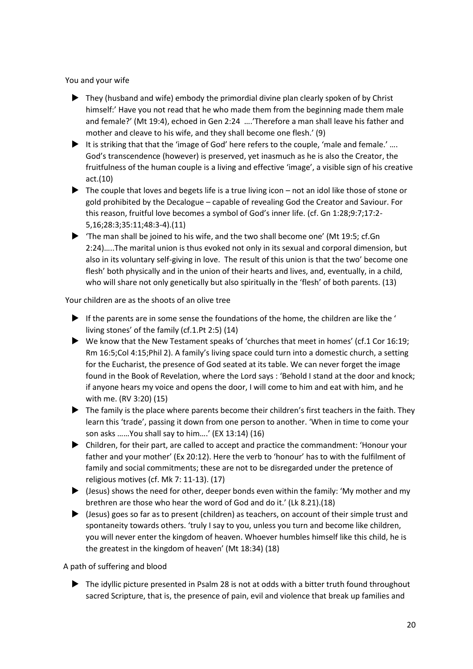You and your wife

- ▶ They (husband and wife) embody the primordial divine plan clearly spoken of by Christ himself:' Have you not read that he who made them from the beginning made them male and female?' (Mt 19:4), echoed in Gen 2:24 ….'Therefore a man shall leave his father and mother and cleave to his wife, and they shall become one flesh.' (9)
- It is striking that that the 'image of God' here refers to the couple, 'male and female.'  $\ldots$ God's transcendence (however) is preserved, yet inasmuch as he is also the Creator, the fruitfulness of the human couple is a living and effective 'image', a visible sign of his creative act.(10)
- $\blacktriangleright$  The couple that loves and begets life is a true living icon not an idol like those of stone or gold prohibited by the Decalogue – capable of revealing God the Creator and Saviour. For this reason, fruitful love becomes a symbol of God's inner life. (cf. Gn 1:28;9:7;17:2- 5,16;28:3;35:11;48:3-4).(11)
- $\blacktriangleright$  'The man shall be joined to his wife, and the two shall become one' (Mt 19:5; cf.Gn 2:24)…..The marital union is thus evoked not only in its sexual and corporal dimension, but also in its voluntary self-giving in love. The result of this union is that the two' become one flesh' both physically and in the union of their hearts and lives, and, eventually, in a child, who will share not only genetically but also spiritually in the 'flesh' of both parents. (13)

Your children are as the shoots of an olive tree

- If the parents are in some sense the foundations of the home, the children are like the ' living stones' of the family (cf.1.Pt 2:5) (14)
- $\blacktriangleright$  We know that the New Testament speaks of 'churches that meet in homes' (cf.1 Cor 16:19; Rm 16:5;Col 4:15;Phil 2). A family's living space could turn into a domestic church, a setting for the Eucharist, the presence of God seated at its table. We can never forget the image found in the Book of Revelation, where the Lord says : 'Behold I stand at the door and knock; if anyone hears my voice and opens the door, I will come to him and eat with him, and he with me. (RV 3:20) (15)
- The family is the place where parents become their children's first teachers in the faith. They learn this 'trade', passing it down from one person to another. 'When in time to come your son asks ……You shall say to him….' (EX 13:14) (16)
- Children, for their part, are called to accept and practice the commandment: 'Honour your father and your mother' (Ex 20:12). Here the verb to 'honour' has to with the fulfilment of family and social commitments; these are not to be disregarded under the pretence of religious motives (cf. Mk 7: 11-13). (17)
- $\blacktriangleright$  (Jesus) shows the need for other, deeper bonds even within the family: 'My mother and my brethren are those who hear the word of God and do it.' (Lk 8.21).(18)
- (Jesus) goes so far as to present (children) as teachers, on account of their simple trust and spontaneity towards others. 'truly I say to you, unless you turn and become like children, you will never enter the kingdom of heaven. Whoever humbles himself like this child, he is the greatest in the kingdom of heaven' (Mt 18:34) (18)

A path of suffering and blood

The idyllic picture presented in Psalm 28 is not at odds with a bitter truth found throughout sacred Scripture, that is, the presence of pain, evil and violence that break up families and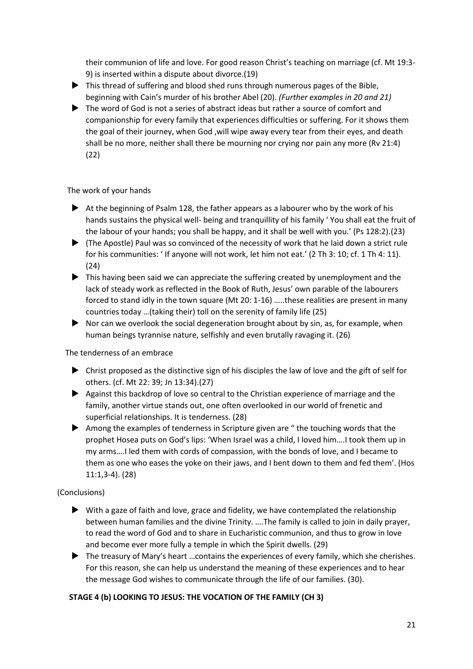their communion of life and love. For good reason Christ's teaching on marriage (cf. Mt 19:3- 9) is inserted within a dispute about divorce.(19)

- This thread of suffering and blood shed runs through numerous pages of the Bible, beginning with Cain's murder of his brother Abel (20). *(Further examples in 20 and 21)*
- The word of God is not a series of abstract ideas but rather a source of comfort and companionship for every family that experiences difficulties or suffering. For it shows them the goal of their journey, when God ,will wipe away every tear from their eyes, and death shall be no more, neither shall there be mourning nor crying nor pain any more (Rv 21:4) (22)

## The work of your hands

- $\blacktriangleright$  At the beginning of Psalm 128, the father appears as a labourer who by the work of his hands sustains the physical well- being and tranquillity of his family ' You shall eat the fruit of the labour of your hands; you shall be happy, and it shall be well with you.' (Ps 128:2).(23)
- $\blacktriangleright$  (The Apostle) Paul was so convinced of the necessity of work that he laid down a strict rule for his communities: ' If anyone will not work, let him not eat.' (2 Th 3: 10; cf. 1 Th 4: 11). (24)
- $\blacktriangleright$  This having been said we can appreciate the suffering created by unemployment and the lack of steady work as reflected in the Book of Ruth, Jesus' own parable of the labourers forced to stand idly in the town square (Mt 20: 1-16) …..these realities are present in many countries today …(taking their) toll on the serenity of family life (25)
- $\blacktriangleright$  Nor can we overlook the social degeneration brought about by sin, as, for example, when human beings tyrannise nature, selfishly and even brutally ravaging it. (26)

### The tenderness of an embrace

- $\triangleright$  Christ proposed as the distinctive sign of his disciples the law of love and the gift of self for others. (cf. Mt 22: 39; Jn 13:34).(27)
- Against this backdrop of love so central to the Christian experience of marriage and the family, another virtue stands out, one often overlooked in our world of frenetic and superficial relationships. It is tenderness. (28)
- Among the examples of tenderness in Scripture given are " the touching words that the prophet Hosea puts on God's lips: 'When Israel was a child, I loved him….I took them up in my arms….I led them with cords of compassion, with the bonds of love, and I became to them as one who eases the yoke on their jaws, and I bent down to them and fed them'. (Hos 11:1,3-4). (28)

### (Conclusions)

- $\blacktriangleright$  With a gaze of faith and love, grace and fidelity, we have contemplated the relationship between human families and the divine Trinity. ….The family is called to join in daily prayer, to read the word of God and to share in Eucharistic communion, and thus to grow in love and become ever more fully a temple in which the Spirit dwells. (29)
- ▶ The treasury of Mary's heart ... contains the experiences of every family, which she cherishes. For this reason, she can help us understand the meaning of these experiences and to hear the message God wishes to communicate through the life of our families. (30).

# **STAGE 4 (b) LOOKING TO JESUS: THE VOCATION OF THE FAMILY (CH 3)**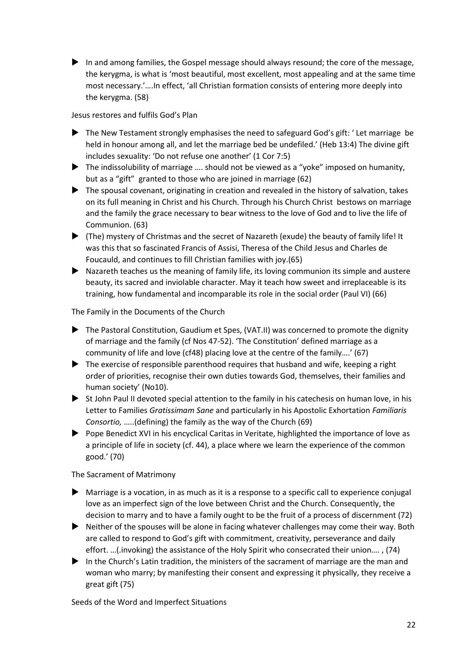In and among families, the Gospel message should always resound; the core of the message, the kerygma, is what is 'most beautiful, most excellent, most appealing and at the same time most necessary.'….In effect, 'all Christian formation consists of entering more deeply into the kerygma. (58)

Jesus restores and fulfils God's Plan

- The New Testament strongly emphasises the need to safeguard God's gift: 'Let marriage be held in honour among all, and let the marriage bed be undefiled.' (Heb 13:4) The divine gift includes sexuality: 'Do not refuse one another' (1 Cor 7:5)
- ▶ The indissolubility of marriage .... should not be viewed as a "yoke" imposed on humanity, but as a "gift" granted to those who are joined in marriage (62)
- $\blacktriangleright$  The spousal covenant, originating in creation and revealed in the history of salvation, takes on its full meaning in Christ and his Church. Through his Church Christ bestows on marriage and the family the grace necessary to bear witness to the love of God and to live the life of Communion. (63)
- (The) mystery of Christmas and the secret of Nazareth (exude) the beauty of family life! It was this that so fascinated Francis of Assisi, Theresa of the Child Jesus and Charles de Foucauld, and continues to fill Christian families with joy.(65)
- Nazareth teaches us the meaning of family life, its loving communion its simple and austere beauty, its sacred and inviolable character. May it teach how sweet and irreplaceable is its training, how fundamental and incomparable its role in the social order (Paul VI) (66)

The Family in the Documents of the Church

- The Pastoral Constitution, Gaudium et Spes, (VAT.II) was concerned to promote the dignity of marriage and the family (cf Nos 47-52). 'The Constitution' defined marriage as a community of life and love (cf48) placing love at the centre of the family….' (67)
- ▶ The exercise of responsible parenthood requires that husband and wife, keeping a right order of priorities, recognise their own duties towards God, themselves, their families and human society' (No10).
- $\triangleright$  St John Paul II devoted special attention to the family in his catechesis on human love, in his Letter to Families *Gratissimam Sane* and particularly in his Apostolic Exhortation *Familiaris Consortio,* …..(defining) the family as the way of the Church (69)
- Pope Benedict XVI in his encyclical Caritas in Veritate, highlighted the importance of love as a principle of life in society (cf. 44), a place where we learn the experience of the common good.' (70)

The Sacrament of Matrimony

- $\blacktriangleright$  Marriage is a vocation, in as much as it is a response to a specific call to experience conjugal love as an imperfect sign of the love between Christ and the Church. Consequently, the decision to marry and to have a family ought to be the fruit of a process of discernment (72)
- Neither of the spouses will be alone in facing whatever challenges may come their way. Both are called to respond to God's gift with commitment, creativity, perseverance and daily effort. …(.invoking) the assistance of the Holy Spirit who consecrated their union…. , (74)
- In the Church's Latin tradition, the ministers of the sacrament of marriage are the man and woman who marry; by manifesting their consent and expressing it physically, they receive a great gift (75)

Seeds of the Word and Imperfect Situations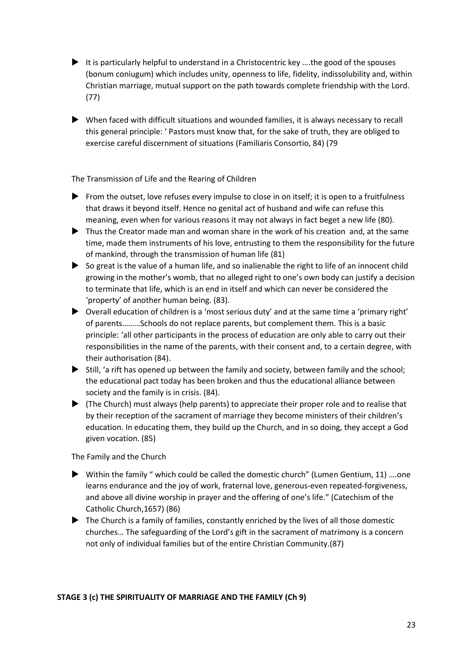- It is particularly helpful to understand in a Christocentric key  $\dots$  the good of the spouses (bonum coniugum) which includes unity, openness to life, fidelity, indissolubility and, within Christian marriage, mutual support on the path towards complete friendship with the Lord. (77)
- When faced with difficult situations and wounded families, it is always necessary to recall this general principle: ' Pastors must know that, for the sake of truth, they are obliged to exercise careful discernment of situations (Familiaris Consortio, 84) (79

The Transmission of Life and the Rearing of Children

- From the outset, love refuses every impulse to close in on itself; it is open to a fruitfulness that draws it beyond itself. Hence no genital act of husband and wife can refuse this meaning, even when for various reasons it may not always in fact beget a new life (80).
- Thus the Creator made man and woman share in the work of his creation and, at the same time, made them instruments of his love, entrusting to them the responsibility for the future of mankind, through the transmission of human life (81)
- $\triangleright$  So great is the value of a human life, and so inalienable the right to life of an innocent child growing in the mother's womb, that no alleged right to one's own body can justify a decision to terminate that life, which is an end in itself and which can never be considered the 'property' of another human being. (83).
- Overall education of children is a 'most serious duty' and at the same time a 'primary right' of parents………Schools do not replace parents, but complement them. This is a basic principle: 'all other participants in the process of education are only able to carry out their responsibilities in the name of the parents, with their consent and, to a certain degree, with their authorisation (84).
- $\blacktriangleright$  Still, 'a rift has opened up between the family and society, between family and the school; the educational pact today has been broken and thus the educational alliance between society and the family is in crisis. (84).
- $\blacktriangleright$  (The Church) must always (help parents) to appreciate their proper role and to realise that by their reception of the sacrament of marriage they become ministers of their children's education. In educating them, they build up the Church, and in so doing, they accept a God given vocation. (85)

The Family and the Church

- Within the family " which could be called the domestic church" (Lumen Gentium, 11) .... one learns endurance and the joy of work, fraternal love, generous-even repeated-forgiveness, and above all divine worship in prayer and the offering of one's life." (Catechism of the Catholic Church,1657) (86)
- The Church is a family of families, constantly enriched by the lives of all those domestic churches… The safeguarding of the Lord's gift in the sacrament of matrimony is a concern not only of individual families but of the entire Christian Community.(87)

### **STAGE 3 (c) THE SPIRITUALITY OF MARRIAGE AND THE FAMILY (Ch 9)**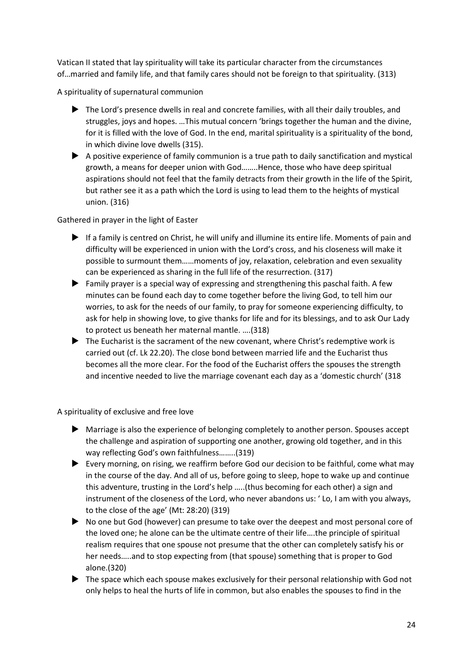Vatican II stated that lay spirituality will take its particular character from the circumstances of…married and family life, and that family cares should not be foreign to that spirituality. (313)

A spirituality of supernatural communion

- The Lord's presence dwells in real and concrete families, with all their daily troubles, and struggles, joys and hopes. …This mutual concern 'brings together the human and the divine, for it is filled with the love of God. In the end, marital spirituality is a spirituality of the bond, in which divine love dwells (315).
- $\blacktriangleright$  A positive experience of family communion is a true path to daily sanctification and mystical growth, a means for deeper union with God……..Hence, those who have deep spiritual aspirations should not feel that the family detracts from their growth in the life of the Spirit, but rather see it as a path which the Lord is using to lead them to the heights of mystical union. (316)

Gathered in prayer in the light of Easter

- If a family is centred on Christ, he will unify and illumine its entire life. Moments of pain and difficulty will be experienced in union with the Lord's cross, and his closeness will make it possible to surmount them……moments of joy, relaxation, celebration and even sexuality can be experienced as sharing in the full life of the resurrection. (317)
- Family prayer is a special way of expressing and strengthening this paschal faith. A few minutes can be found each day to come together before the living God, to tell him our worries, to ask for the needs of our family, to pray for someone experiencing difficulty, to ask for help in showing love, to give thanks for life and for its blessings, and to ask Our Lady to protect us beneath her maternal mantle. ….(318)
- $\blacktriangleright$  The Eucharist is the sacrament of the new covenant, where Christ's redemptive work is carried out (cf. Lk 22.20). The close bond between married life and the Eucharist thus becomes all the more clear. For the food of the Eucharist offers the spouses the strength and incentive needed to live the marriage covenant each day as a 'domestic church' (318

A spirituality of exclusive and free love

- Marriage is also the experience of belonging completely to another person. Spouses accept the challenge and aspiration of supporting one another, growing old together, and in this way reflecting God's own faithfulness……..(319)
- Every morning, on rising, we reaffirm before God our decision to be faithful, come what may in the course of the day. And all of us, before going to sleep, hope to wake up and continue this adventure, trusting in the Lord's help …..(thus becoming for each other) a sign and instrument of the closeness of the Lord, who never abandons us: ' Lo, I am with you always, to the close of the age' (Mt: 28:20) (319)
- No one but God (however) can presume to take over the deepest and most personal core of the loved one; he alone can be the ultimate centre of their life….the principle of spiritual realism requires that one spouse not presume that the other can completely satisfy his or her needs…..and to stop expecting from (that spouse) something that is proper to God alone.(320)
- The space which each spouse makes exclusively for their personal relationship with God not only helps to heal the hurts of life in common, but also enables the spouses to find in the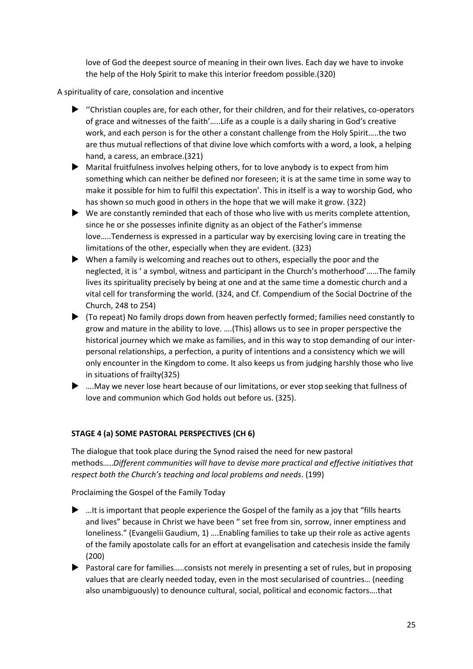love of God the deepest source of meaning in their own lives. Each day we have to invoke the help of the Holy Spirit to make this interior freedom possible.(320)

A spirituality of care, consolation and incentive

- $\blacktriangleright$  "Christian couples are, for each other, for their children, and for their relatives, co-operators of grace and witnesses of the faith'…..Life as a couple is a daily sharing in God's creative work, and each person is for the other a constant challenge from the Holy Spirit…..the two are thus mutual reflections of that divine love which comforts with a word, a look, a helping hand, a caress, an embrace.(321)
- Marital fruitfulness involves helping others, for to love anybody is to expect from him something which can neither be defined nor foreseen; it is at the same time in some way to make it possible for him to fulfil this expectation'. This in itself is a way to worship God, who has shown so much good in others in the hope that we will make it grow. (322)
- $\blacktriangleright$  We are constantly reminded that each of those who live with us merits complete attention, since he or she possesses infinite dignity as an object of the Father's immense love…..Tenderness is expressed in a particular way by exercising loving care in treating the limitations of the other, especially when they are evident. (323)
- When a family is welcoming and reaches out to others, especially the poor and the neglected, it is ' a symbol, witness and participant in the Church's motherhood'……The family lives its spirituality precisely by being at one and at the same time a domestic church and a vital cell for transforming the world. (324, and Cf. Compendium of the Social Doctrine of the Church, 248 to 254)
- (To repeat) No family drops down from heaven perfectly formed; families need constantly to grow and mature in the ability to love. ….(This) allows us to see in proper perspective the historical journey which we make as families, and in this way to stop demanding of our interpersonal relationships, a perfection, a purity of intentions and a consistency which we will only encounter in the Kingdom to come. It also keeps us from judging harshly those who live in situations of frailty(325)
- ….May we never lose heart because of our limitations, or ever stop seeking that fullness of love and communion which God holds out before us. (325).

# **STAGE 4 (a) SOME PASTORAL PERSPECTIVES (CH 6)**

The dialogue that took place during the Synod raised the need for new pastoral methods…..*Different communities will have to devise more practical and effective initiatives that respect both the Church's teaching and local problems and needs*. (199)

Proclaiming the Gospel of the Family Today

- $\blacktriangleright$  ... It is important that people experience the Gospel of the family as a joy that "fills hearts" and lives" because in Christ we have been " set free from sin, sorrow, inner emptiness and loneliness." (Evangelii Gaudium, 1) ….Enabling families to take up their role as active agents of the family apostolate calls for an effort at evangelisation and catechesis inside the family (200)
- ▶ Pastoral care for families.....consists not merely in presenting a set of rules, but in proposing values that are clearly needed today, even in the most secularised of countries… (needing also unambiguously) to denounce cultural, social, political and economic factors….that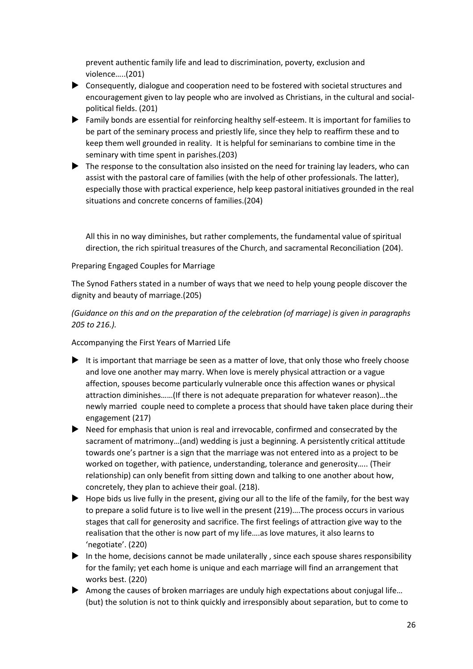prevent authentic family life and lead to discrimination, poverty, exclusion and violence…..(201)

- Consequently, dialogue and cooperation need to be fostered with societal structures and encouragement given to lay people who are involved as Christians, in the cultural and socialpolitical fields. (201)
- Family bonds are essential for reinforcing healthy self-esteem. It is important for families to be part of the seminary process and priestly life, since they help to reaffirm these and to keep them well grounded in reality. It is helpful for seminarians to combine time in the seminary with time spent in parishes.(203)
- The response to the consultation also insisted on the need for training lay leaders, who can assist with the pastoral care of families (with the help of other professionals. The latter), especially those with practical experience, help keep pastoral initiatives grounded in the real situations and concrete concerns of families.(204)

All this in no way diminishes, but rather complements, the fundamental value of spiritual direction, the rich spiritual treasures of the Church, and sacramental Reconciliation (204).

### Preparing Engaged Couples for Marriage

The Synod Fathers stated in a number of ways that we need to help young people discover the dignity and beauty of marriage.(205)

*(Guidance on this and on the preparation of the celebration (of marriage) is given in paragraphs 205 to 216.).* 

Accompanying the First Years of Married Life

- It is important that marriage be seen as a matter of love, that only those who freely choose and love one another may marry. When love is merely physical attraction or a vague affection, spouses become particularly vulnerable once this affection wanes or physical attraction diminishes……(If there is not adequate preparation for whatever reason)…the newly married couple need to complete a process that should have taken place during their engagement (217)
- Need for emphasis that union is real and irrevocable, confirmed and consecrated by the sacrament of matrimony…(and) wedding is just a beginning. A persistently critical attitude towards one's partner is a sign that the marriage was not entered into as a project to be worked on together, with patience, understanding, tolerance and generosity….. (Their relationship) can only benefit from sitting down and talking to one another about how, concretely, they plan to achieve their goal. (218).
- $\blacktriangleright$  Hope bids us live fully in the present, giving our all to the life of the family, for the best way to prepare a solid future is to live well in the present (219)….The process occurs in various stages that call for generosity and sacrifice. The first feelings of attraction give way to the realisation that the other is now part of my life….as love matures, it also learns to 'negotiate'. (220)
- In the home, decisions cannot be made unilaterally, since each spouse shares responsibility for the family; yet each home is unique and each marriage will find an arrangement that works best. (220)
- Among the causes of broken marriages are unduly high expectations about conjugal life... (but) the solution is not to think quickly and irresponsibly about separation, but to come to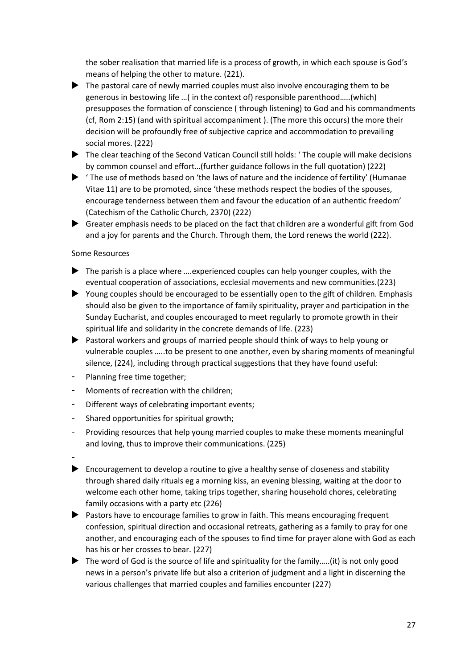the sober realisation that married life is a process of growth, in which each spouse is God's means of helping the other to mature. (221).

- The pastoral care of newly married couples must also involve encouraging them to be generous in bestowing life …( in the context of) responsible parenthood…..(which) presupposes the formation of conscience ( through listening) to God and his commandments (cf, Rom 2:15) (and with spiritual accompaniment ). (The more this occurs) the more their decision will be profoundly free of subjective caprice and accommodation to prevailing social mores. (222)
- ▶ The clear teaching of the Second Vatican Council still holds: 'The couple will make decisions by common counsel and effort…(further guidance follows in the full quotation) (222)
- ' The use of methods based on 'the laws of nature and the incidence of fertility' (Humanae Vitae 11) are to be promoted, since 'these methods respect the bodies of the spouses, encourage tenderness between them and favour the education of an authentic freedom' (Catechism of the Catholic Church, 2370) (222)
- Greater emphasis needs to be placed on the fact that children are a wonderful gift from God and a joy for parents and the Church. Through them, the Lord renews the world (222).

### Some Resources

- ▶ The parish is a place where .... experienced couples can help younger couples, with the eventual cooperation of associations, ecclesial movements and new communities.(223)
- Young couples should be encouraged to be essentially open to the gift of children. Emphasis should also be given to the importance of family spirituality, prayer and participation in the Sunday Eucharist, and couples encouraged to meet regularly to promote growth in their spiritual life and solidarity in the concrete demands of life. (223)
- Pastoral workers and groups of married people should think of ways to help young or vulnerable couples …..to be present to one another, even by sharing moments of meaningful silence, (224), including through practical suggestions that they have found useful:
- Planning free time together;
- Moments of recreation with the children;
- Different ways of celebrating important events;
- Shared opportunities for spiritual growth;
- Providing resources that help young married couples to make these moments meaningful and loving, thus to improve their communications. (225)
- $\blacktriangleright$  Encouragement to develop a routine to give a healthy sense of closeness and stability through shared daily rituals eg a morning kiss, an evening blessing, waiting at the door to welcome each other home, taking trips together, sharing household chores, celebrating family occasions with a party etc (226)
- Pastors have to encourage families to grow in faith. This means encouraging frequent confession, spiritual direction and occasional retreats, gathering as a family to pray for one another, and encouraging each of the spouses to find time for prayer alone with God as each has his or her crosses to bear. (227)
- $\blacktriangleright$  The word of God is the source of life and spirituality for the family.....(it) is not only good news in a person's private life but also a criterion of judgment and a light in discerning the various challenges that married couples and families encounter (227)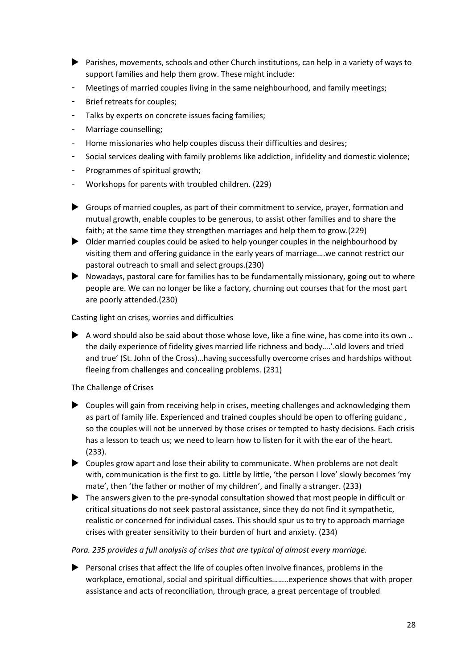- Parishes, movements, schools and other Church institutions, can help in a variety of ways to support families and help them grow. These might include:
- Meetings of married couples living in the same neighbourhood, and family meetings;
- Brief retreats for couples;
- Talks by experts on concrete issues facing families;
- Marriage counselling;
- Home missionaries who help couples discuss their difficulties and desires;
- Social services dealing with family problems like addiction, infidelity and domestic violence;
- Programmes of spiritual growth;
- Workshops for parents with troubled children. (229)
- Groups of married couples, as part of their commitment to service, prayer, formation and mutual growth, enable couples to be generous, to assist other families and to share the faith; at the same time they strengthen marriages and help them to grow.(229)
- $\triangleright$  Older married couples could be asked to help younger couples in the neighbourhood by visiting them and offering guidance in the early years of marriage….we cannot restrict our pastoral outreach to small and select groups.(230)
- Nowadays, pastoral care for families has to be fundamentally missionary, going out to where people are. We can no longer be like a factory, churning out courses that for the most part are poorly attended.(230)

Casting light on crises, worries and difficulties

 $\blacktriangleright$  A word should also be said about those whose love, like a fine wine, has come into its own .. the daily experience of fidelity gives married life richness and body….'.old lovers and tried and true' (St. John of the Cross)…having successfully overcome crises and hardships without fleeing from challenges and concealing problems. (231)

The Challenge of Crises

- Couples will gain from receiving help in crises, meeting challenges and acknowledging them as part of family life. Experienced and trained couples should be open to offering guidanc , so the couples will not be unnerved by those crises or tempted to hasty decisions. Each crisis has a lesson to teach us; we need to learn how to listen for it with the ear of the heart. (233).
- Couples grow apart and lose their ability to communicate. When problems are not dealt with, communication is the first to go. Little by little, 'the person I love' slowly becomes 'my mate', then 'the father or mother of my children', and finally a stranger. (233)
- The answers given to the pre-synodal consultation showed that most people in difficult or critical situations do not seek pastoral assistance, since they do not find it sympathetic, realistic or concerned for individual cases. This should spur us to try to approach marriage crises with greater sensitivity to their burden of hurt and anxiety. (234)

### *Para. 235 provides a full analysis of crises that are typical of almost every marriage.*

 Personal crises that affect the life of couples often involve finances, problems in the workplace, emotional, social and spiritual difficulties……..experience shows that with proper assistance and acts of reconciliation, through grace, a great percentage of troubled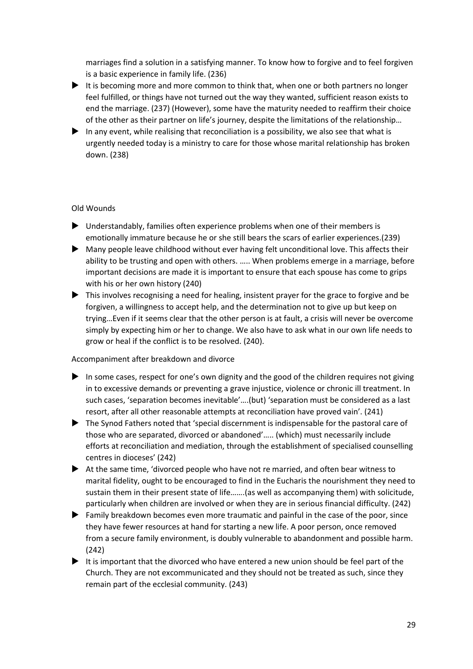marriages find a solution in a satisfying manner. To know how to forgive and to feel forgiven is a basic experience in family life. (236)

- It is becoming more and more common to think that, when one or both partners no longer feel fulfilled, or things have not turned out the way they wanted, sufficient reason exists to end the marriage. (237) (However), some have the maturity needed to reaffirm their choice of the other as their partner on life's journey, despite the limitations of the relationship…
- In any event, while realising that reconciliation is a possibility, we also see that what is urgently needed today is a ministry to care for those whose marital relationship has broken down. (238)

### Old Wounds

- Understandably, families often experience problems when one of their members is emotionally immature because he or she still bears the scars of earlier experiences.(239)
- Many people leave childhood without ever having felt unconditional love. This affects their ability to be trusting and open with others. ….. When problems emerge in a marriage, before important decisions are made it is important to ensure that each spouse has come to grips with his or her own history (240)
- $\blacktriangleright$  This involves recognising a need for healing, insistent prayer for the grace to forgive and be forgiven, a willingness to accept help, and the determination not to give up but keep on trying…Even if it seems clear that the other person is at fault, a crisis will never be overcome simply by expecting him or her to change. We also have to ask what in our own life needs to grow or heal if the conflict is to be resolved. (240).

### Accompaniment after breakdown and divorce

- In some cases, respect for one's own dignity and the good of the children requires not giving in to excessive demands or preventing a grave injustice, violence or chronic ill treatment. In such cases, 'separation becomes inevitable'….(but) 'separation must be considered as a last resort, after all other reasonable attempts at reconciliation have proved vain'. (241)
- The Synod Fathers noted that 'special discernment is indispensable for the pastoral care of those who are separated, divorced or abandoned'….. (which) must necessarily include efforts at reconciliation and mediation, through the establishment of specialised counselling centres in dioceses' (242)
- At the same time, 'divorced people who have not re married, and often bear witness to marital fidelity, ought to be encouraged to find in the Eucharis the nourishment they need to sustain them in their present state of life…….(as well as accompanying them) with solicitude, particularly when children are involved or when they are in serious financial difficulty. (242)
- Family breakdown becomes even more traumatic and painful in the case of the poor, since they have fewer resources at hand for starting a new life. A poor person, once removed from a secure family environment, is doubly vulnerable to abandonment and possible harm. (242)
- $\blacktriangleright$  It is important that the divorced who have entered a new union should be feel part of the Church. They are not excommunicated and they should not be treated as such, since they remain part of the ecclesial community. (243)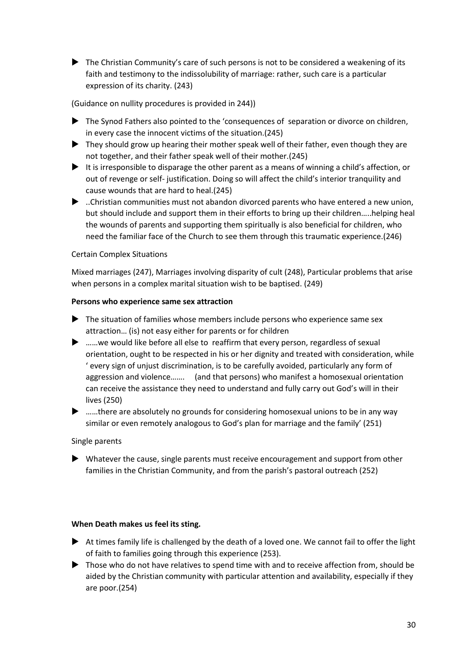The Christian Community's care of such persons is not to be considered a weakening of its faith and testimony to the indissolubility of marriage: rather, such care is a particular expression of its charity. (243)

(Guidance on nullity procedures is provided in 244))

- The Synod Fathers also pointed to the 'consequences of separation or divorce on children, in every case the innocent victims of the situation.(245)
- $\blacktriangleright$  They should grow up hearing their mother speak well of their father, even though they are not together, and their father speak well of their mother.(245)
- It is irresponsible to disparage the other parent as a means of winning a child's affection, or out of revenge or self- justification. Doing so will affect the child's interior tranquility and cause wounds that are hard to heal.(245)
- ..Christian communities must not abandon divorced parents who have entered a new union, but should include and support them in their efforts to bring up their children…..helping heal the wounds of parents and supporting them spiritually is also beneficial for children, who need the familiar face of the Church to see them through this traumatic experience.(246)

### Certain Complex Situations

Mixed marriages (247), Marriages involving disparity of cult (248), Particular problems that arise when persons in a complex marital situation wish to be baptised. (249)

#### **Persons who experience same sex attraction**

- ▶ The situation of families whose members include persons who experience same sex attraction… (is) not easy either for parents or for children
- ▶ ……we would like before all else to reaffirm that every person, regardless of sexual orientation, ought to be respected in his or her dignity and treated with consideration, while ' every sign of unjust discrimination, is to be carefully avoided, particularly any form of aggression and violence……. (and that persons) who manifest a homosexual orientation can receive the assistance they need to understand and fully carry out God's will in their lives (250)
- ▶ ……there are absolutely no grounds for considering homosexual unions to be in any way similar or even remotely analogous to God's plan for marriage and the family' (251)

### Single parents

 Whatever the cause, single parents must receive encouragement and support from other families in the Christian Community, and from the parish's pastoral outreach (252)

#### **When Death makes us feel its sting.**

- $\blacktriangleright$  At times family life is challenged by the death of a loved one. We cannot fail to offer the light of faith to families going through this experience (253).
- **Those who do not have relatives to spend time with and to receive affection from, should be** aided by the Christian community with particular attention and availability, especially if they are poor.(254)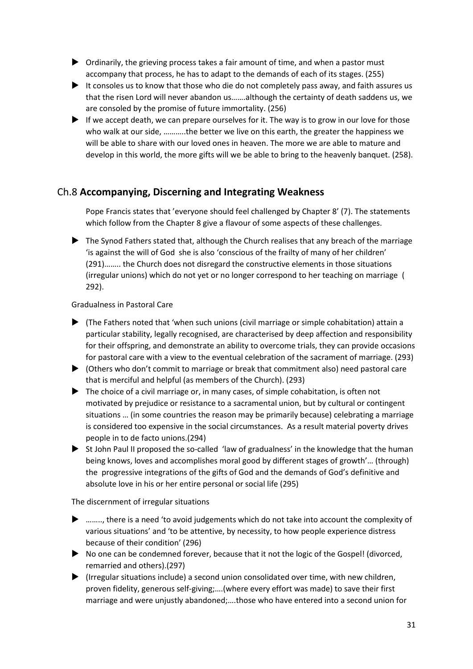- Ordinarily, the grieving process takes a fair amount of time, and when a pastor must accompany that process, he has to adapt to the demands of each of its stages. (255)
- It consoles us to know that those who die do not completely pass away, and faith assures us that the risen Lord will never abandon us…….although the certainty of death saddens us, we are consoled by the promise of future immortality. (256)
- If we accept death, we can prepare ourselves for it. The way is to grow in our love for those who walk at our side, ………..the better we live on this earth, the greater the happiness we will be able to share with our loved ones in heaven. The more we are able to mature and develop in this world, the more gifts will we be able to bring to the heavenly banquet. (258).

# Ch.8 **Accompanying, Discerning and Integrating Weakness**

Pope Francis states that 'everyone should feel challenged by Chapter 8' (7). The statements which follow from the Chapter 8 give a flavour of some aspects of these challenges.

 $\blacktriangleright$  The Synod Fathers stated that, although the Church realises that any breach of the marriage 'is against the will of God she is also 'conscious of the frailty of many of her children' (291)…….. the Church does not disregard the constructive elements in those situations (irregular unions) which do not yet or no longer correspond to her teaching on marriage ( 292).

### Gradualness in Pastoral Care

- $\blacktriangleright$  (The Fathers noted that 'when such unions (civil marriage or simple cohabitation) attain a particular stability, legally recognised, are characterised by deep affection and responsibility for their offspring, and demonstrate an ability to overcome trials, they can provide occasions for pastoral care with a view to the eventual celebration of the sacrament of marriage. (293)
- (Others who don't commit to marriage or break that commitment also) need pastoral care that is merciful and helpful (as members of the Church). (293)
- The choice of a civil marriage or, in many cases, of simple cohabitation, is often not motivated by prejudice or resistance to a sacramental union, but by cultural or contingent situations … (in some countries the reason may be primarily because) celebrating a marriage is considered too expensive in the social circumstances. As a result material poverty drives people in to de facto unions.(294)
- $\triangleright$  St John Paul II proposed the so-called 'law of gradualness' in the knowledge that the human being knows, loves and accomplishes moral good by different stages of growth'… (through) the progressive integrations of the gifts of God and the demands of God's definitive and absolute love in his or her entire personal or social life (295)

The discernment of irregular situations

- $\blacktriangleright$  ........, there is a need 'to avoid judgements which do not take into account the complexity of various situations' and 'to be attentive, by necessity, to how people experience distress because of their condition' (296)
- No one can be condemned forever, because that it not the logic of the Gospel! (divorced, remarried and others).(297)
- (Irregular situations include) a second union consolidated over time, with new children, proven fidelity, generous self-giving;….(where every effort was made) to save their first marriage and were unjustly abandoned;….those who have entered into a second union for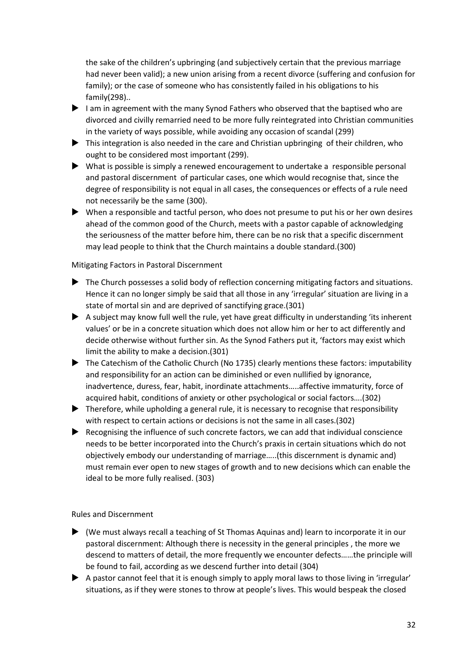the sake of the children's upbringing (and subjectively certain that the previous marriage had never been valid); a new union arising from a recent divorce (suffering and confusion for family); or the case of someone who has consistently failed in his obligations to his family(298)..

- I am in agreement with the many Synod Fathers who observed that the baptised who are divorced and civilly remarried need to be more fully reintegrated into Christian communities in the variety of ways possible, while avoiding any occasion of scandal (299)
- This integration is also needed in the care and Christian upbringing of their children, who ought to be considered most important (299).
- What is possible is simply a renewed encouragement to undertake a responsible personal and pastoral discernment of particular cases, one which would recognise that, since the degree of responsibility is not equal in all cases, the consequences or effects of a rule need not necessarily be the same (300).
- When a responsible and tactful person, who does not presume to put his or her own desires ahead of the common good of the Church, meets with a pastor capable of acknowledging the seriousness of the matter before him, there can be no risk that a specific discernment may lead people to think that the Church maintains a double standard.(300)

### Mitigating Factors in Pastoral Discernment

- The Church possesses a solid body of reflection concerning mitigating factors and situations. Hence it can no longer simply be said that all those in any 'irregular' situation are living in a state of mortal sin and are deprived of sanctifying grace.(301)
- $\blacktriangleright$  A subject may know full well the rule, yet have great difficulty in understanding 'its inherent values' or be in a concrete situation which does not allow him or her to act differently and decide otherwise without further sin. As the Synod Fathers put it, 'factors may exist which limit the ability to make a decision.(301)
- The Catechism of the Catholic Church (No 1735) clearly mentions these factors: imputability and responsibility for an action can be diminished or even nullified by ignorance, inadvertence, duress, fear, habit, inordinate attachments…..affective immaturity, force of acquired habit, conditions of anxiety or other psychological or social factors….(302)
- Therefore, while upholding a general rule, it is necessary to recognise that responsibility with respect to certain actions or decisions is not the same in all cases.(302)
- $\blacktriangleright$  Recognising the influence of such concrete factors, we can add that individual conscience needs to be better incorporated into the Church's praxis in certain situations which do not objectively embody our understanding of marriage…..(this discernment is dynamic and) must remain ever open to new stages of growth and to new decisions which can enable the ideal to be more fully realised. (303)

### Rules and Discernment

- (We must always recall a teaching of St Thomas Aquinas and) learn to incorporate it in our pastoral discernment: Although there is necessity in the general principles , the more we descend to matters of detail, the more frequently we encounter defects……the principle will be found to fail, according as we descend further into detail (304)
- A pastor cannot feel that it is enough simply to apply moral laws to those living in 'irregular' situations, as if they were stones to throw at people's lives. This would bespeak the closed